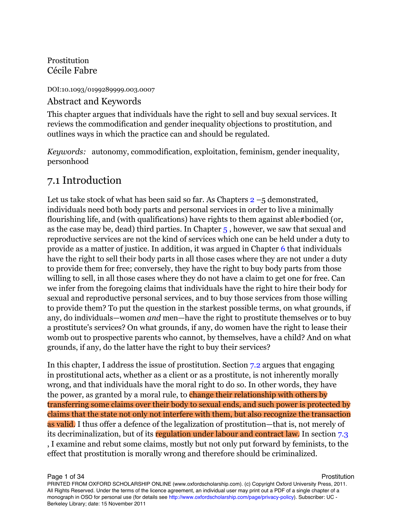Prostitution Cécile Fabre

DOI:10.1093/0199289999.003.0007

Abstract and Keywords

This chapter argues that individuals have the right to sell and buy sexual services. It reviews the commodification and gender inequality objections to prostitution, and outlines ways in which the practice can and should be regulated.

*Keywords:* autonomy, commodification, exploitation, feminism, gender inequality, personhood

## 7.1 Introduction

Let us take stock of what has been said so far. As Chapters  $2 - 5$  demonstrated, individuals need both body parts and personal services in order to live a minimally flourishing life, and (with qualifications) have rights to them against able#bodied (or, as the case may be, dead) third parties. In Chapter [5](http://www.oxfordscholarship.com/view/10.1093/0199289999.001.0001/acprof-9780199289998-chapter-5#) , however, we saw that sexual and reproductive services are not the kind of services which one can be held under a duty to provide as a matter of justice. In addition, it was argued in Chapter [6](http://www.oxfordscholarship.com/view/10.1093/0199289999.001.0001/acprof-9780199289998-chapter-6#) that individuals have the right to sell their body parts in all those cases where they are not under a duty to provide them for free; conversely, they have the right to buy body parts from those willing to sell, in all those cases where they do not have a claim to get one for free. Can we infer from the foregoing claims that individuals have the right to hire their body for sexual and reproductive personal services, and to buy those services from those willing to provide them? To put the question in the starkest possible terms, on what grounds, if any, do individuals—women *and* men—have the right to prostitute themselves or to buy a prostitute's services? On what grounds, if any, do women have the right to lease their womb out to prospective parents who cannot, by themselves, have a child? And on what grounds, if any, do the latter have the right to buy their services?

In this chapter, I address the issue of prostitution. Section [7.2](http://www.oxfordscholarship.com/view/10.1093/0199289999.001.0001/acprof-9780199289998-chapter-7#acprof-9780199289998-div1-28) argues that engaging in prostitutional acts, whether as a client or as a prostitute, is not inherently morally wrong, and that individuals have the moral right to do so. In other words, they have the power, as granted by a moral rule, to change their relationship with others by transferring some claims over their body to sexual ends, and such power is protected by claims that the state not only not interfere with them, but also recognize the transaction as valid. I thus offer a defence of the legalization of prostitution—that is, not merely of its decriminalization, but of its regulation under labour and contract law. In section [7.3](http://www.oxfordscholarship.com/view/10.1093/0199289999.001.0001/acprof-9780199289998-chapter-7#acprof-9780199289998-div1-29) , I examine and rebut some claims, mostly but not only put forward by feminists, to the effect that prostitution is morally wrong and therefore should be criminalized.

Page 1 of 34 Prostitution and the contract of the contract of the contract of the contract of the contract of the contract of the contract of the contract of the contract of the contract of the contract of the contract of PRINTED FROM OXFORD SCHOLARSHIP ONLINE (www.oxfordscholarship.com). (c) Copyright Oxford University Press, 2011. All Rights Reserved. Under the terms of the licence agreement, an individual user may print out a PDF of a single chapter of a monograph in OSO for personal use (for details see [http://www.oxfordscholarship.com/page/privacy-policy\)](http://www.oxfordscholarship.com/page/privacy-policy). Subscriber: UC - Berkeley Library; date: 15 November 2011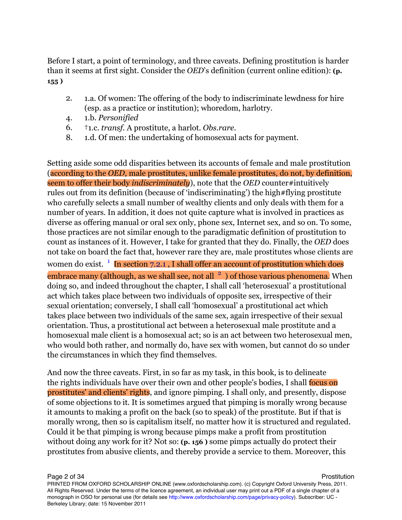Before I start, a point of terminology, and three caveats. Defining prostitution is harder than it seems at first sight. Consider the *OED*'s definition (current online edition): **(p. 155 )**

- 2. 1.a. Of women: The offering of the body to indiscriminate lewdness for hire (esp. as a practice or institution); whoredom, harlotry.
- 4. 1.b. *Personified*
- 6. †1.c. *transf.* A prostitute, a harlot. *Obs.rare.*
- 8. 1.d. Of men: the undertaking of homosexual acts for payment.

Setting aside some odd disparities between its accounts of female and male prostitution (according to the *OED*, male prostitutes, unlike female prostitutes, do not, by definition, seem to offer their body *indiscriminately*), note that the *OED* counter#intuitively rules out from its definition (because of 'indiscriminating') the high#flying prostitute who carefully selects a small number of wealthy clients and only deals with them for a number of years. In addition, it does not quite capture what is involved in practices as diverse as offering manual or oral sex only, phone sex, Internet sex, and so on. To some, those practices are not similar enough to the paradigmatic definition of prostitution to count as instances of it. However, I take for granted that they do. Finally, the *OED* does not take on board the fact that, however rare they are, male prostitutes whose clients are women do exist.  $\frac{1}{1}$  In section 7.2.1, I shall offer an account of prostitution which does embrace many (although, as we shall see, not all  $\alpha$ ) of those various phenomena. When doing so, and indeed throughout the chapter, I shall call 'heterosexual' a prostitutional act which takes place between two individuals of opposite sex, irrespective of their sexual orientation; conversely, I shall call 'homosexual' a prostitutional act which takes place between two individuals of the same sex, again irrespective of their sexual orientation. Thus, a prostitutional act between a heterosexual male prostitute and a homosexual male client is a homosexual act; so is an act between two heterosexual men, who would both rather, and normally do, have sex with women, but cannot do so under the circumstances in which they find themselves.

And now the three caveats. First, in so far as my task, in this book, is to delineate the rights individuals have over their own and other people's bodies, I shall focus on prostitutes' and clients' rights, and ignore pimping. I shall only, and presently, dispose of some objections to it. It is sometimes argued that pimping is morally wrong because it amounts to making a profit on the back (so to speak) of the prostitute. But if that is morally wrong, then so is capitalism itself, no matter how it is structured and regulated. Could it be that pimping is wrong because pimps make a profit from prostitution without doing any work for it? Not so: **(p. 156 )** some pimps actually do protect their prostitutes from abusive clients, and thereby provide a service to them. Moreover, this

Page 2 of 34 Prostitution and the set of 34 Prostitution and the set of 34 Prostitution and the set of 34 Prostitution PRINTED FROM OXFORD SCHOLARSHIP ONLINE (www.oxfordscholarship.com). (c) Copyright Oxford University Press, 2011. All Rights Reserved. Under the terms of the licence agreement, an individual user may print out a PDF of a single chapter of a monograph in OSO for personal use (for details see [http://www.oxfordscholarship.com/page/privacy-policy\)](http://www.oxfordscholarship.com/page/privacy-policy). Subscriber: UC - Berkeley Library; date: 15 November 2011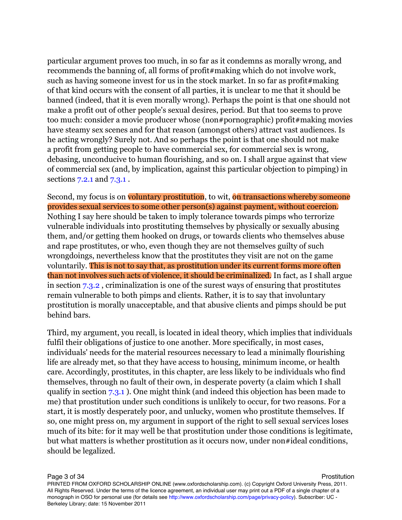particular argument proves too much, in so far as it condemns as morally wrong, and recommends the banning of, all forms of profit#making which do not involve work, such as having someone invest for us in the stock market. In so far as profit#making of that kind occurs with the consent of all parties, it is unclear to me that it should be banned (indeed, that it is even morally wrong). Perhaps the point is that one should not make a profit out of other people's sexual desires, period. But that too seems to prove too much: consider a movie producer whose (non#pornographic) profit#making movies have steamy sex scenes and for that reason (amongst others) attract vast audiences. Is he acting wrongly? Surely not. And so perhaps the point is that one should not make a profit from getting people to have commercial sex, for commercial sex is wrong, debasing, unconducive to human flourishing, and so on. I shall argue against that view of commercial sex (and, by implication, against this particular objection to pimping) in sections [7.2.1](http://www.oxfordscholarship.com/view/10.1093/0199289999.001.0001/acprof-9780199289998-chapter-7#acprof-9780199289998-div2-16) and [7.3.1](http://www.oxfordscholarship.com/view/10.1093/0199289999.001.0001/acprof-9780199289998-chapter-7#acprof-9780199289998-div2-18).

Second, my focus is on voluntary prostitution, to wit, on transactions whereby someone provides sexual services to some other person(s) against payment, without coercion. Nothing I say here should be taken to imply tolerance towards pimps who terrorize vulnerable individuals into prostituting themselves by physically or sexually abusing them, and/or getting them hooked on drugs, or towards clients who themselves abuse and rape prostitutes, or who, even though they are not themselves guilty of such wrongdoings, nevertheless know that the prostitutes they visit are not on the game voluntarily. This is not to say that, as prostitution under its current forms more often than not involves such acts of violence, it should be criminalized. In fact, as I shall argue in section [7.3.2](http://www.oxfordscholarship.com/view/10.1093/0199289999.001.0001/acprof-9780199289998-chapter-7#acprof-9780199289998-div2-19) , criminalization is one of the surest ways of ensuring that prostitutes remain vulnerable to both pimps and clients. Rather, it is to say that involuntary prostitution is morally unacceptable, and that abusive clients and pimps should be put behind bars.

Third, my argument, you recall, is located in ideal theory, which implies that individuals fulfil their obligations of justice to one another. More specifically, in most cases, individuals' needs for the material resources necessary to lead a minimally flourishing life are already met, so that they have access to housing, minimum income, or health care. Accordingly, prostitutes, in this chapter, are less likely to be individuals who find themselves, through no fault of their own, in desperate poverty (a claim which I shall qualify in section [7.3.1](http://www.oxfordscholarship.com/view/10.1093/0199289999.001.0001/acprof-9780199289998-chapter-7#acprof-9780199289998-div2-18) ). One might think (and indeed this objection has been made to me) that prostitution under such conditions is unlikely to occur, for two reasons. For a start, it is mostly desperately poor, and unlucky, women who prostitute themselves. If so, one might press on, my argument in support of the right to sell sexual services loses much of its bite: for it may well be that prostitution under those conditions is legitimate, but what matters is whether prostitution as it occurs now, under non#ideal conditions, should be legalized.

Page 3 of 34 Prostitution and the set of the set of the set of the set of the set of the set of the set of the set of the set of the set of the set of the set of the set of the set of the set of the set of the set of the s PRINTED FROM OXFORD SCHOLARSHIP ONLINE (www.oxfordscholarship.com). (c) Copyright Oxford University Press, 2011. All Rights Reserved. Under the terms of the licence agreement, an individual user may print out a PDF of a single chapter of a monograph in OSO for personal use (for details see [http://www.oxfordscholarship.com/page/privacy-policy\)](http://www.oxfordscholarship.com/page/privacy-policy). Subscriber: UC - Berkeley Library; date: 15 November 2011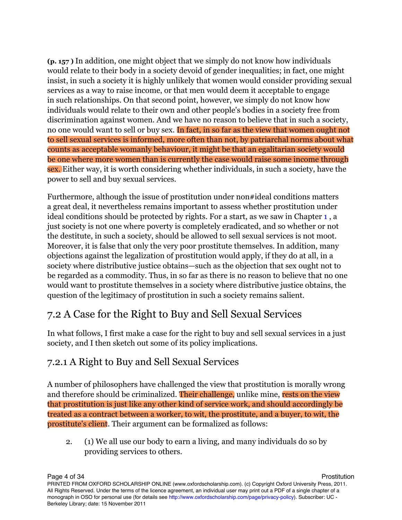**(p. 157 )** In addition, one might object that we simply do not know how individuals would relate to their body in a society devoid of gender inequalities; in fact, one might insist, in such a society it is highly unlikely that women would consider providing sexual services as a way to raise income, or that men would deem it acceptable to engage in such relationships. On that second point, however, we simply do not know how individuals would relate to their own and other people's bodies in a society free from discrimination against women. And we have no reason to believe that in such a society, no one would want to sell or buy sex. In fact, in so far as the view that women ought not to sell sexual services is informed, more often than not, by patriarchal norms about what counts as acceptable womanly behaviour, it might be that an egalitarian society would be one where more women than is currently the case would raise some income through sex. Either way, it is worth considering whether individuals, in such a society, have the power to sell and buy sexual services.

Furthermore, although the issue of prostitution under non#ideal conditions matters a great deal, it nevertheless remains important to assess whether prostitution under ideal conditions should be protected by rights. For a start, as we saw in Chapter [1](http://www.oxfordscholarship.com/view/10.1093/0199289999.001.0001/acprof-9780199289998-chapter-1#) , a just society is not one where poverty is completely eradicated, and so whether or not the destitute, in such a society, should be allowed to sell sexual services is not moot. Moreover, it is false that only the very poor prostitute themselves. In addition, many objections against the legalization of prostitution would apply, if they do at all, in a society where distributive justice obtains—such as the objection that sex ought not to be regarded as a commodity. Thus, in so far as there is no reason to believe that no one would want to prostitute themselves in a society where distributive justice obtains, the question of the legitimacy of prostitution in such a society remains salient.

# 7.2 A Case for the Right to Buy and Sell Sexual Services

In what follows, I first make a case for the right to buy and sell sexual services in a just society, and I then sketch out some of its policy implications.

## 7.2.1 A Right to Buy and Sell Sexual Services

A number of philosophers have challenged the view that prostitution is morally wrong and therefore should be criminalized. Their challenge, unlike mine, rests on the view that prostitution is just like any other kind of service work, and should accordingly be treated as a contract between a worker, to wit, the prostitute, and a buyer, to wit, the prostitute's client. Their argument can be formalized as follows:

2. (1) We all use our body to earn a living, and many individuals do so by providing services to others.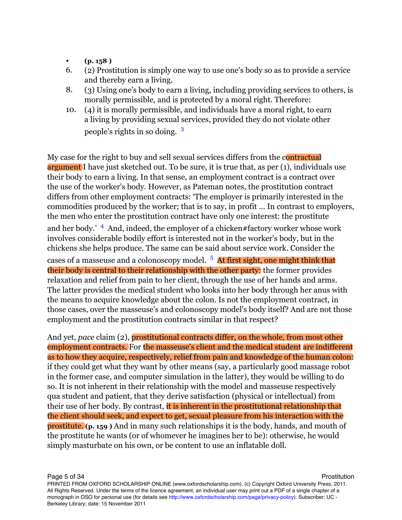- $(p. 158)$
- 6. (2) Prostitution is simply one way to use one's body so as to provide a service and thereby earn a living.
- 8. (3) Using one's body to earn a living, including providing services to others, is morally permissible, and is protected by a moral right. Therefore:
- 10. (4) it is morally permissible, and individuals have a moral right, to earn a living by providing sexual services, provided they do not violate other people's rights in so doing. <sup>3</sup>

My case for the right to buy and sell sexual services differs from the contractual argument I have just sketched out. To be sure, it is true that, as per (1), individuals use their body to earn a living. In that sense, an employment contract is a contract over the use of the worker's body. However, as Pateman notes, the prostitution contract differs from other employment contracts: 'The employer is primarily interested in the commodities produced by the worker; that is to say, in profit … In contrast to employers, the men who enter the prostitution contract have only one interest: the prostitute and her body.' <sup>4</sup> And, indeed, the employer of a chicken#factory worker whose work involves considerable bodily effort is interested not in the worker's body, but in the chickens she helps produce. The same can be said about service work. Consider the cases of a masseuse and a colonoscopy model. 5 At first sight, one might think that their body is central to their relationship with the other party: the former provides relaxation and relief from pain to her client, through the use of her hands and arms. The latter provides the medical student who looks into her body through her anus with the means to acquire knowledge about the colon. Is not the employment contract, in those cases, over the masseuse's and colonoscopy model's body itself? And are not those employment and the prostitution contracts similar in that respect?

And yet, *pace* claim (2), prostitutional contracts differ, on the whole, from most other employment contracts. For the masseuse's client and the medical student are indifferent as to how they acquire, respectively, relief from pain and knowledge of the human colon: if they could get what they want by other means (say, a particularly good massage robot in the former case, and computer simulation in the latter), they would be willing to do so. It is not inherent in their relationship with the model and masseuse respectively qua student and patient, that they derive satisfaction (physical or intellectual) from their use of her body. By contrast, it is inherent in the prostitutional relationship that the client should seek, and expect to get, sexual pleasure from his interaction with the prostitute. **(p. 159 )** And in many such relationships it is the body, hands, and mouth of the prostitute he wants (or of whomever he imagines her to be): otherwise, he would simply masturbate on his own, or be content to use an inflatable doll.

Page 5 of 34 Prostitution and the set of 34 Prostitution and the set of 34 Prostitution and the set of 34 Prostitution PRINTED FROM OXFORD SCHOLARSHIP ONLINE (www.oxfordscholarship.com). (c) Copyright Oxford University Press, 2011. All Rights Reserved. Under the terms of the licence agreement, an individual user may print out a PDF of a single chapter of a monograph in OSO for personal use (for details see [http://www.oxfordscholarship.com/page/privacy-policy\)](http://www.oxfordscholarship.com/page/privacy-policy). Subscriber: UC - Berkeley Library; date: 15 November 2011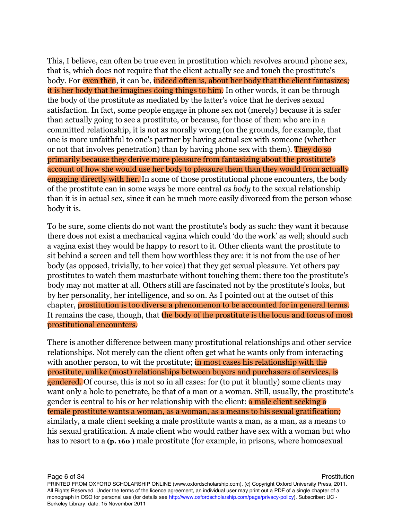This, I believe, can often be true even in prostitution which revolves around phone sex, that is, which does not require that the client actually see and touch the prostitute's body. For even then, it can be, indeed often is, about her body that the client fantasizes; it is her body that he imagines doing things to him. In other words, it can be through the body of the prostitute as mediated by the latter's voice that he derives sexual satisfaction. In fact, some people engage in phone sex not (merely) because it is safer than actually going to see a prostitute, or because, for those of them who are in a committed relationship, it is not as morally wrong (on the grounds, for example, that one is more unfaithful to one's partner by having actual sex with someone (whether or not that involves penetration) than by having phone sex with them). They do so primarily because they derive more pleasure from fantasizing about the prostitute's account of how she would use her body to pleasure them than they would from actually engaging directly with her. In some of those prostitutional phone encounters, the body of the prostitute can in some ways be more central *as body* to the sexual relationship than it is in actual sex, since it can be much more easily divorced from the person whose body it is.

To be sure, some clients do not want the prostitute's body as such: they want it because there does not exist a mechanical vagina which could 'do the work' as well; should such a vagina exist they would be happy to resort to it. Other clients want the prostitute to sit behind a screen and tell them how worthless they are: it is not from the use of her body (as opposed, trivially, to her voice) that they get sexual pleasure. Yet others pay prostitutes to watch them masturbate without touching them: there too the prostitute's body may not matter at all. Others still are fascinated not by the prostitute's looks, but by her personality, her intelligence, and so on. As I pointed out at the outset of this chapter, prostitution is too diverse a phenomenon to be accounted for in general terms. It remains the case, though, that the body of the prostitute is the locus and focus of most prostitutional encounters.

There is another difference between many prostitutional relationships and other service relationships. Not merely can the client often get what he wants only from interacting with another person, to wit the prostitute; in most cases his relationship with the prostitute, unlike (most) relationships between buyers and purchasers of services, is **gendered.** Of course, this is not so in all cases: for (to put it bluntly) some clients may want only a hole to penetrate, be that of a man or a woman. Still, usually, the prostitute's gender is central to his or her relationship with the client: a male client seeking a female prostitute wants a woman, as a woman, as a means to his sexual gratification; similarly, a male client seeking a male prostitute wants a man, as a man, as a means to his sexual gratification. A male client who would rather have sex with a woman but who has to resort to a **(p. 160 )** male prostitute (for example, in prisons, where homosexual

Page 6 of 34 Prostitution and the set of the set of the set of the set of the set of the set of the set of the set of the set of the set of the set of the set of the set of the set of the set of the set of the set of the s PRINTED FROM OXFORD SCHOLARSHIP ONLINE (www.oxfordscholarship.com). (c) Copyright Oxford University Press, 2011. All Rights Reserved. Under the terms of the licence agreement, an individual user may print out a PDF of a single chapter of a monograph in OSO for personal use (for details see [http://www.oxfordscholarship.com/page/privacy-policy\)](http://www.oxfordscholarship.com/page/privacy-policy). Subscriber: UC - Berkeley Library; date: 15 November 2011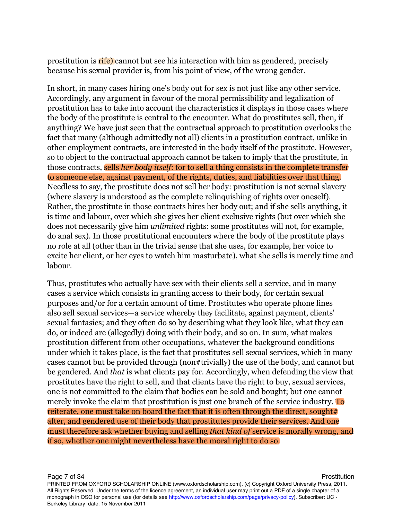prostitution is rife) cannot but see his interaction with him as gendered, precisely because his sexual provider is, from his point of view, of the wrong gender.

In short, in many cases hiring one's body out for sex is not just like any other service. Accordingly, any argument in favour of the moral permissibility and legalization of prostitution has to take into account the characteristics it displays in those cases where the body of the prostitute is central to the encounter. What do prostitutes sell, then, if anything? We have just seen that the contractual approach to prostitution overlooks the fact that many (although admittedly not all) clients in a prostitution contract, unlike in other employment contracts, are interested in the body itself of the prostitute. However, so to object to the contractual approach cannot be taken to imply that the prostitute, in those contracts, sells *her body itself*: for to sell a thing consists in the complete transfer to someone else, against payment, of the rights, duties, and liabilities over that thing. Needless to say, the prostitute does not sell her body: prostitution is not sexual slavery (where slavery is understood as the complete relinquishing of rights over oneself). Rather, the prostitute in those contracts hires her body out; and if she sells anything, it is time and labour, over which she gives her client exclusive rights (but over which she does not necessarily give him *unlimited* rights: some prostitutes will not, for example, do anal sex). In those prostitutional encounters where the body of the prostitute plays no role at all (other than in the trivial sense that she uses, for example, her voice to excite her client, or her eyes to watch him masturbate), what she sells is merely time and labour.

Thus, prostitutes who actually have sex with their clients sell a service, and in many cases a service which consists in granting access to their body, for certain sexual purposes and/or for a certain amount of time. Prostitutes who operate phone lines also sell sexual services—a service whereby they facilitate, against payment, clients' sexual fantasies; and they often do so by describing what they look like, what they can do, or indeed are (allegedly) doing with their body, and so on. In sum, what makes prostitution different from other occupations, whatever the background conditions under which it takes place, is the fact that prostitutes sell sexual services, which in many cases cannot but be provided through (non#trivially) the use of the body, and cannot but be gendered. And *that* is what clients pay for. Accordingly, when defending the view that prostitutes have the right to sell, and that clients have the right to buy, sexual services, one is not committed to the claim that bodies can be sold and bought; but one cannot merely invoke the claim that prostitution is just one branch of the service industry. To reiterate, one must take on board the fact that it is often through the direct, sought# after, and gendered use of their body that prostitutes provide their services. And one must therefore ask whether buying and selling *that kind of* service is morally wrong, and if so, whether one might nevertheless have the moral right to do so.

Page 7 of 34 Prostitution and the set of the set of the set of the set of the set of the set of the set of the set of the set of the set of the set of the set of the set of the set of the set of the set of the set of the s PRINTED FROM OXFORD SCHOLARSHIP ONLINE (www.oxfordscholarship.com). (c) Copyright Oxford University Press, 2011. All Rights Reserved. Under the terms of the licence agreement, an individual user may print out a PDF of a single chapter of a monograph in OSO for personal use (for details see [http://www.oxfordscholarship.com/page/privacy-policy\)](http://www.oxfordscholarship.com/page/privacy-policy). Subscriber: UC - Berkeley Library; date: 15 November 2011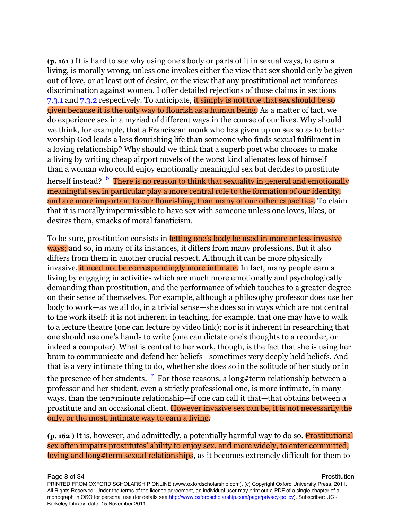**(p. 161 )** It is hard to see why using one's body or parts of it in sexual ways, to earn a living, is morally wrong, unless one invokes either the view that sex should only be given out of love, or at least out of desire, or the view that any prostitutional act reinforces discrimination against women. I offer detailed rejections of those claims in sections [7.3.1](http://www.oxfordscholarship.com/view/10.1093/0199289999.001.0001/acprof-9780199289998-chapter-7#acprof-9780199289998-div2-18) and [7.3.2](http://www.oxfordscholarship.com/view/10.1093/0199289999.001.0001/acprof-9780199289998-chapter-7#acprof-9780199289998-div2-19) respectively. To anticipate, it simply is not true that sex should be so given because it is the only way to flourish as a human being. As a matter of fact, we do experience sex in a myriad of different ways in the course of our lives. Why should we think, for example, that a Franciscan monk who has given up on sex so as to better worship God leads a less flourishing life than someone who finds sexual fulfilment in a loving relationship? Why should we think that a superb poet who chooses to make a living by writing cheap airport novels of the worst kind alienates less of himself than a woman who could enjoy emotionally meaningful sex but decides to prostitute herself instead? <sup>6</sup> There is no reason to think that sexuality in general and emotionally meaningful sex in particular play a more central role to the formation of our identity, and are more important to our flourishing, than many of our other capacities. To claim that it is morally impermissible to have sex with someone unless one loves, likes, or desires them, smacks of moral fanaticism.

To be sure, prostitution consists in letting one's body be used in more or less invasive ways; and so, in many of its instances, it differs from many professions. But it also differs from them in another crucial respect. Although it can be more physically invasive, it need not be correspondingly more intimate. In fact, many people earn a living by engaging in activities which are much more emotionally and psychologically demanding than prostitution, and the performance of which touches to a greater degree on their sense of themselves. For example, although a philosophy professor does use her body to work—as we all do, in a trivial sense—she does so in ways which are not central to the work itself: it is not inherent in teaching, for example, that one may have to walk to a lecture theatre (one can lecture by video link); nor is it inherent in researching that one should use one's hands to write (one can dictate one's thoughts to a recorder, or indeed a computer). What is central to her work, though, is the fact that she is using her brain to communicate and defend her beliefs—sometimes very deeply held beliefs. And that is a very intimate thing to do, whether she does so in the solitude of her study or in the presence of her students.  $\frac{7}{7}$  For those reasons, a long#term relationship between a professor and her student, even a strictly professional one, is more intimate, in many ways, than the ten#minute relationship—if one can call it that—that obtains between a prostitute and an occasional client. However invasive sex can be, it is not necessarily the only, or the most, intimate way to earn a living.

**(p. 162 )** It is, however, and admittedly, a potentially harmful way to do so. Prostitutional sex often impairs prostitutes' ability to enjoy sex, and more widely, to enter committed, loving and long#term sexual relationships, as it becomes extremely difficult for them to

Page 8 of 34 Prostitution and the set of the set of the set of the set of the set of the set of the set of the set of the set of the set of the set of the set of the set of the set of the set of the set of the set of the s PRINTED FROM OXFORD SCHOLARSHIP ONLINE (www.oxfordscholarship.com). (c) Copyright Oxford University Press, 2011. All Rights Reserved. Under the terms of the licence agreement, an individual user may print out a PDF of a single chapter of a monograph in OSO for personal use (for details see [http://www.oxfordscholarship.com/page/privacy-policy\)](http://www.oxfordscholarship.com/page/privacy-policy). Subscriber: UC - Berkeley Library; date: 15 November 2011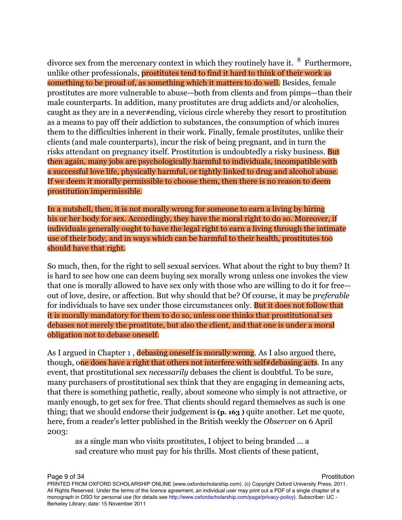divorce sex from the mercenary context in which they routinely have it.  $8$  Furthermore, unlike other professionals, **prostitutes tend to find it hard to think of their work as** something to be proud of, as something which it matters to do well. Besides, female prostitutes are more vulnerable to abuse—both from clients and from pimps—than their male counterparts. In addition, many prostitutes are drug addicts and/or alcoholics, caught as they are in a never#ending, vicious circle whereby they resort to prostitution as a means to pay off their addiction to substances, the consumption of which inures them to the difficulties inherent in their work. Finally, female prostitutes, unlike their clients (and male counterparts), incur the risk of being pregnant, and in turn the risks attendant on pregnancy itself. Prostitution is undoubtedly a risky business. But then again, many jobs are psychologically harmful to individuals, incompatible with a successful love life, physically harmful, or tightly linked to drug and alcohol abuse. If we deem it morally permissible to choose them, then there is no reason to deem prostitution impermissible.

In a nutshell, then, it is not morally wrong for someone to earn a living by hiring his or her body for sex. Accordingly, they have the moral right to do so. Moreover, if individuals generally ought to have the legal right to earn a living through the intimate use of their body, and in ways which can be harmful to their health, prostitutes too should have that right.

So much, then, for the right to sell sexual services. What about the right to buy them? It is hard to see how one can deem buying sex morally wrong unless one invokes the view that one is morally allowed to have sex only with those who are willing to do it for free out of love, desire, or affection. But why should that be? Of course, it may be *preferable* for individuals to have sex under those circumstances only. But it does not follow that it is morally mandatory for them to do so, unless one thinks that prostitutional sex debases not merely the prostitute, but also the client, and that one is under a moral obligation not to debase oneself.

As I argued in Chapter [1](http://www.oxfordscholarship.com/view/10.1093/0199289999.001.0001/acprof-9780199289998-chapter-1#), debasing oneself is morally wrong. As I also argued there, though, one does have a right that others not interfere with self#debasing acts. In any event, that prostitutional sex *necessarily* debases the client is doubtful. To be sure, many purchasers of prostitutional sex think that they are engaging in demeaning acts, that there is something pathetic, really, about someone who simply is not attractive, or manly enough, to get sex for free. That clients should regard themselves as such is one thing; that we should endorse their judgement is **(p. 163 )** quite another. Let me quote, here, from a reader's letter published in the British weekly the *Observer* on 6 April 2003:

as a single man who visits prostitutes, I object to being branded … a sad creature who must pay for his thrills. Most clients of these patient,

Page 9 of 34 Prostitution and the set of the set of the set of the set of the set of the set of the set of the set of the set of the set of the set of the set of the set of the set of the set of the set of the set of the s PRINTED FROM OXFORD SCHOLARSHIP ONLINE (www.oxfordscholarship.com). (c) Copyright Oxford University Press, 2011. All Rights Reserved. Under the terms of the licence agreement, an individual user may print out a PDF of a single chapter of a monograph in OSO for personal use (for details see [http://www.oxfordscholarship.com/page/privacy-policy\)](http://www.oxfordscholarship.com/page/privacy-policy). Subscriber: UC - Berkeley Library; date: 15 November 2011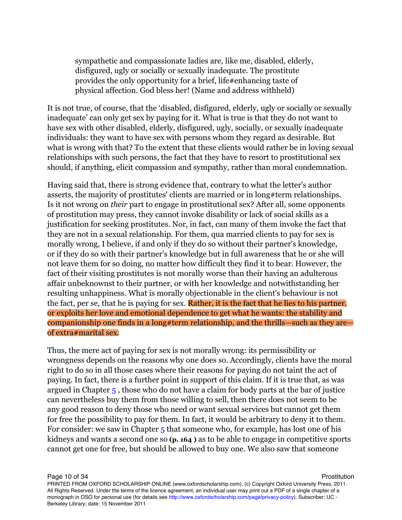sympathetic and compassionate ladies are, like me, disabled, elderly, disfigured, ugly or socially or sexually inadequate. The prostitute provides the only opportunity for a brief, life#enhancing taste of physical affection. God bless her! (Name and address withheld)

It is not true, of course, that the 'disabled, disfigured, elderly, ugly or socially or sexually inadequate' can only get sex by paying for it. What is true is that they do not want to have sex with other disabled, elderly, disfigured, ugly, socially, or sexually inadequate individuals: they want to have sex with persons whom they regard as desirable. But what is wrong with that? To the extent that these clients would rather be in loving sexual relationships with such persons, the fact that they have to resort to prostitutional sex should, if anything, elicit compassion and sympathy, rather than moral condemnation.

Having said that, there is strong evidence that, contrary to what the letter's author asserts, the majority of prostitutes' clients are married or in long#term relationships. Is it not wrong on *their* part to engage in prostitutional sex? After all, some opponents of prostitution may press, they cannot invoke disability or lack of social skills as a justification for seeking prostitutes. Nor, in fact, can many of them invoke the fact that they are not in a sexual relationship. For them, qua married clients to pay for sex is morally wrong, I believe, if and only if they do so without their partner's knowledge, or if they do so with their partner's knowledge but in full awareness that he or she will not leave them for so doing, no matter how difficult they find it to bear. However, the fact of their visiting prostitutes is not morally worse than their having an adulterous affair unbeknownst to their partner, or with her knowledge and notwithstanding her resulting unhappiness. What is morally objectionable in the client's behaviour is not the fact, per se, that he is paying for sex. Rather, it is the fact that he lies to his partner, or exploits her love and emotional dependence to get what he wants: the stability and companionship one finds in a long#term relationship, and the thrills—such as they are of extra#marital sex.

Thus, the mere act of paying for sex is not morally wrong: its permissibility or wrongness depends on the reasons why one does so. Accordingly, clients have the moral right to do so in all those cases where their reasons for paying do not taint the act of paying. In fact, there is a further point in support of this claim. If it is true that, as was argued in Chapter [5](http://www.oxfordscholarship.com/view/10.1093/0199289999.001.0001/acprof-9780199289998-chapter-5#) , those who do not have a claim for body parts at the bar of justice can nevertheless buy them from those willing to sell, then there does not seem to be any good reason to deny those who need or want sexual services but cannot get them for free the possibility to pay for them. In fact, it would be arbitrary to deny it to them. For consider: we saw in Chapter [5](http://www.oxfordscholarship.com/view/10.1093/0199289999.001.0001/acprof-9780199289998-chapter-5#) that someone who, for example, has lost one of his kidneys and wants a second one so **(p. 164 )** as to be able to engage in competitive sports cannot get one for free, but should be allowed to buy one. We also saw that someone

Page 10 of 34 Prostitution and the state of the state of the state of the state of the Prostitution Prostitution PRINTED FROM OXFORD SCHOLARSHIP ONLINE (www.oxfordscholarship.com). (c) Copyright Oxford University Press, 2011. All Rights Reserved. Under the terms of the licence agreement, an individual user may print out a PDF of a single chapter of a monograph in OSO for personal use (for details see [http://www.oxfordscholarship.com/page/privacy-policy\)](http://www.oxfordscholarship.com/page/privacy-policy). Subscriber: UC - Berkeley Library; date: 15 November 2011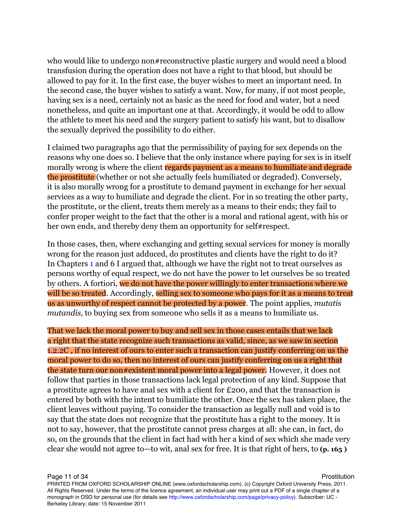who would like to undergo non#reconstructive plastic surgery and would need a blood transfusion during the operation does not have a right to that blood, but should be allowed to pay for it. In the first case, the buyer wishes to meet an important need. In the second case, the buyer wishes to satisfy a want. Now, for many, if not most people, having sex is a need, certainly not as basic as the need for food and water, but a need nonetheless, and quite an important one at that. Accordingly, it would be odd to allow the athlete to meet his need and the surgery patient to satisfy his want, but to disallow the sexually deprived the possibility to do either.

I claimed two paragraphs ago that the permissibility of paying for sex depends on the reasons why one does so. I believe that the only instance where paying for sex is in itself morally wrong is where the client regards payment as a means to humiliate and degrade the prostitute (whether or not she actually feels humiliated or degraded). Conversely, it is also morally wrong for a prostitute to demand payment in exchange for her sexual services as a way to humiliate and degrade the client. For in so treating the other party, the prostitute, or the client, treats them merely as a means to their ends; they fail to confer proper weight to the fact that the other is a moral and rational agent, with his or her own ends, and thereby deny them an opportunity for self#respect.

In those cases, then, where exchanging and getting sexual services for money is morally wrong for the reason just adduced, do prostitutes and clients have the right to do it? In Chapters [1](http://www.oxfordscholarship.com/view/10.1093/0199289999.001.0001/acprof-9780199289998-chapter-1#) and 6 I argued that, although we have the right not to treat ourselves as persons worthy of equal respect, we do not have the power to let ourselves be so treated by others. A fortiori, we do not have the power willingly to enter transactions where we will be so treated. Accordingly, selling sex to someone who pays for it as a means to treat us as unworthy of respect cannot be protected by a power. The point applies, *mutatis mutandis*, to buying sex from someone who sells it as a means to humiliate us.

That we lack the moral power to buy and sell sex in those cases entails that we lack a right that the state recognize such transactions as valid, since, as we saw in section [1.2.2C](http://www.oxfordscholarship.com/view/10.1093/0199289999.001.0001/acprof-9780199289998-chapter-1#acprof-9780199289998-div3-3) , if no interest of ours to enter such a transaction can justify conferring on us the moral power to do so, then no interest of ours can justify conferring on us a right that the state turn our non#existent moral power into a legal power. However, it does not follow that parties in those transactions lack legal protection of any kind. Suppose that a prostitute agrees to have anal sex with a client for £200, and that the transaction is entered by both with the intent to humiliate the other. Once the sex has taken place, the client leaves without paying. To consider the transaction as legally null and void is to say that the state does not recognize that the prostitute has a right to the money. It is not to say, however, that the prostitute cannot press charges at all: she can, in fact, do so, on the grounds that the client in fact had with her a kind of sex which she made very clear she would not agree to—to wit, anal sex for free. It is that right of hers, to **(p. 165 )**

Page 11 of 34 Prostitution and the set of the set of the set of the set of the set of the Prostitution Prostitution PRINTED FROM OXFORD SCHOLARSHIP ONLINE (www.oxfordscholarship.com). (c) Copyright Oxford University Press, 2011. All Rights Reserved. Under the terms of the licence agreement, an individual user may print out a PDF of a single chapter of a monograph in OSO for personal use (for details see [http://www.oxfordscholarship.com/page/privacy-policy\)](http://www.oxfordscholarship.com/page/privacy-policy). Subscriber: UC - Berkeley Library; date: 15 November 2011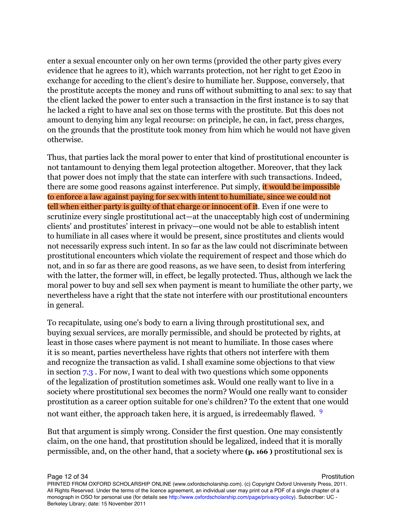enter a sexual encounter only on her own terms (provided the other party gives every evidence that he agrees to it), which warrants protection, not her right to get £200 in exchange for acceding to the client's desire to humiliate her. Suppose, conversely, that the prostitute accepts the money and runs off without submitting to anal sex: to say that the client lacked the power to enter such a transaction in the first instance is to say that he lacked a right to have anal sex on those terms with the prostitute. But this does not amount to denying him any legal recourse: on principle, he can, in fact, press charges, on the grounds that the prostitute took money from him which he would not have given otherwise.

Thus, that parties lack the moral power to enter that kind of prostitutional encounter is not tantamount to denying them legal protection altogether. Moreover, that they lack that power does not imply that the state can interfere with such transactions. Indeed, there are some good reasons against interference. Put simply, it would be impossible to enforce a law against paying for sex with intent to humiliate, since we could not tell when either party is guilty of that charge or innocent of it. Even if one were to scrutinize every single prostitutional act—at the unacceptably high cost of undermining clients' and prostitutes' interest in privacy—one would not be able to establish intent to humiliate in all cases where it would be present, since prostitutes and clients would not necessarily express such intent. In so far as the law could not discriminate between prostitutional encounters which violate the requirement of respect and those which do not, and in so far as there are good reasons, as we have seen, to desist from interfering with the latter, the former will, in effect, be legally protected. Thus, although we lack the moral power to buy and sell sex when payment is meant to humiliate the other party, we nevertheless have a right that the state not interfere with our prostitutional encounters in general.

To recapitulate, using one's body to earn a living through prostitutional sex, and buying sexual services, are morally permissible, and should be protected by rights, at least in those cases where payment is not meant to humiliate. In those cases where it is so meant, parties nevertheless have rights that others not interfere with them and recognize the transaction as valid. I shall examine some objections to that view in section [7.3](http://www.oxfordscholarship.com/view/10.1093/0199289999.001.0001/acprof-9780199289998-chapter-7#acprof-9780199289998-div1-29) . For now, I want to deal with two questions which some opponents of the legalization of prostitution sometimes ask. Would one really want to live in a society where prostitutional sex becomes the norm? Would one really want to consider prostitution as a career option suitable for one's children? To the extent that one would not want either, the approach taken here, it is argued, is irredeemably flawed. <sup>9</sup>

But that argument is simply wrong. Consider the first question. One may consistently claim, on the one hand, that prostitution should be legalized, indeed that it is morally permissible, and, on the other hand, that a society where **(p. 166 )** prostitutional sex is

Page 12 of 34 Prostitution and the set of the set of the set of the set of the set of the set of the set of the set of the set of the set of the set of the set of the set of the set of the set of the set of the set of the PRINTED FROM OXFORD SCHOLARSHIP ONLINE (www.oxfordscholarship.com). (c) Copyright Oxford University Press, 2011. All Rights Reserved. Under the terms of the licence agreement, an individual user may print out a PDF of a single chapter of a monograph in OSO for personal use (for details see [http://www.oxfordscholarship.com/page/privacy-policy\)](http://www.oxfordscholarship.com/page/privacy-policy). Subscriber: UC - Berkeley Library; date: 15 November 2011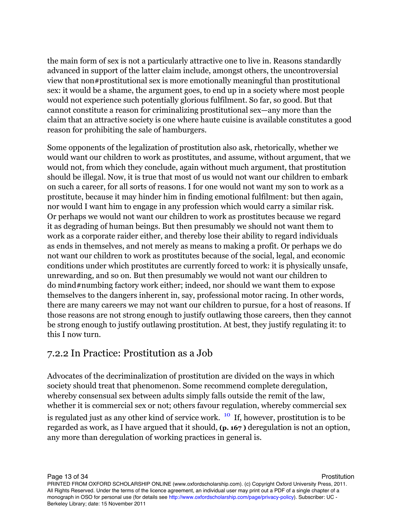the main form of sex is not a particularly attractive one to live in. Reasons standardly advanced in support of the latter claim include, amongst others, the uncontroversial view that non#prostitutional sex is more emotionally meaningful than prostitutional sex: it would be a shame, the argument goes, to end up in a society where most people would not experience such potentially glorious fulfilment. So far, so good. But that cannot constitute a reason for criminalizing prostitutional sex—any more than the claim that an attractive society is one where haute cuisine is available constitutes a good reason for prohibiting the sale of hamburgers.

Some opponents of the legalization of prostitution also ask, rhetorically, whether we would want our children to work as prostitutes, and assume, without argument, that we would not, from which they conclude, again without much argument, that prostitution should be illegal. Now, it is true that most of us would not want our children to embark on such a career, for all sorts of reasons. I for one would not want my son to work as a prostitute, because it may hinder him in finding emotional fulfilment: but then again, nor would I want him to engage in any profession which would carry a similar risk. Or perhaps we would not want our children to work as prostitutes because we regard it as degrading of human beings. But then presumably we should not want them to work as a corporate raider either, and thereby lose their ability to regard individuals as ends in themselves, and not merely as means to making a profit. Or perhaps we do not want our children to work as prostitutes because of the social, legal, and economic conditions under which prostitutes are currently forced to work: it is physically unsafe, unrewarding, and so on. But then presumably we would not want our children to do mind#numbing factory work either; indeed, nor should we want them to expose themselves to the dangers inherent in, say, professional motor racing. In other words, there are many careers we may not want our children to pursue, for a host of reasons. If those reasons are not strong enough to justify outlawing those careers, then they cannot be strong enough to justify outlawing prostitution. At best, they justify regulating it: to this I now turn.

#### 7.2.2 In Practice: Prostitution as a Job

Advocates of the decriminalization of prostitution are divided on the ways in which society should treat that phenomenon. Some recommend complete deregulation, whereby consensual sex between adults simply falls outside the remit of the law, whether it is commercial sex or not; others favour regulation, whereby commercial sex is regulated just as any other kind of service work.  $10$  If, however, prostitution is to be regarded as work, as I have argued that it should, **(p. 167 )** deregulation is not an option, any more than deregulation of working practices in general is.

Page 13 of 34 Prostitution and the set of the set of the set of the set of the set of the set of the set of the set of the set of the set of the set of the set of the set of the set of the set of the set of the set of the PRINTED FROM OXFORD SCHOLARSHIP ONLINE (www.oxfordscholarship.com). (c) Copyright Oxford University Press, 2011. All Rights Reserved. Under the terms of the licence agreement, an individual user may print out a PDF of a single chapter of a monograph in OSO for personal use (for details see [http://www.oxfordscholarship.com/page/privacy-policy\)](http://www.oxfordscholarship.com/page/privacy-policy). Subscriber: UC - Berkeley Library; date: 15 November 2011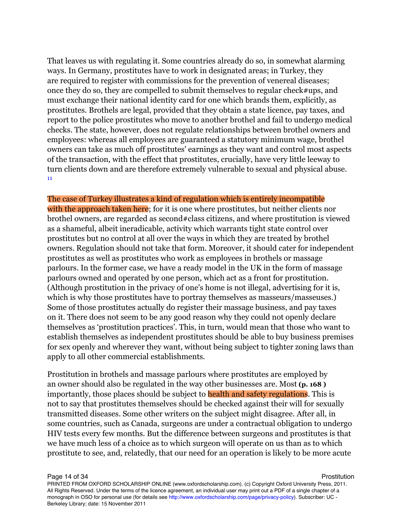That leaves us with regulating it. Some countries already do so, in somewhat alarming ways. In Germany, prostitutes have to work in designated areas; in Turkey, they are required to register with commissions for the prevention of venereal diseases; once they do so, they are compelled to submit themselves to regular check#ups, and must exchange their national identity card for one which brands them, explicitly, as prostitutes. Brothels are legal, provided that they obtain a state licence, pay taxes, and report to the police prostitutes who move to another brothel and fail to undergo medical checks. The state, however, does not regulate relationships between brothel owners and employees: whereas all employees are guaranteed a statutory minimum wage, brothel owners can take as much off prostitutes' earnings as they want and control most aspects of the transaction, with the effect that prostitutes, crucially, have very little leeway to turn clients down and are therefore extremely vulnerable to sexual and physical abuse. 11

#### The case of Turkey illustrates a kind of regulation which is entirely incompatible

with the approach taken here; for it is one where prostitutes, but neither clients nor brothel owners, are regarded as second#class citizens, and where prostitution is viewed as a shameful, albeit ineradicable, activity which warrants tight state control over prostitutes but no control at all over the ways in which they are treated by brothel owners. Regulation should not take that form. Moreover, it should cater for independent prostitutes as well as prostitutes who work as employees in brothels or massage parlours. In the former case, we have a ready model in the UK in the form of massage parlours owned and operated by one person, which act as a front for prostitution. (Although prostitution in the privacy of one's home is not illegal, advertising for it is, which is why those prostitutes have to portray themselves as masseurs/masseuses.) Some of those prostitutes actually do register their massage business, and pay taxes on it. There does not seem to be any good reason why they could not openly declare themselves as 'prostitution practices'. This, in turn, would mean that those who want to establish themselves as independent prostitutes should be able to buy business premises for sex openly and wherever they want, without being subject to tighter zoning laws than apply to all other commercial establishments.

Prostitution in brothels and massage parlours where prostitutes are employed by an owner should also be regulated in the way other businesses are. Most **(p. 168 )** importantly, those places should be subject to health and safety regulations. This is not to say that prostitutes themselves should be checked against their will for sexually transmitted diseases. Some other writers on the subject might disagree. After all, in some countries, such as Canada, surgeons are under a contractual obligation to undergo HIV tests every few months. But the difference between surgeons and prostitutes is that we have much less of a choice as to which surgeon will operate on us than as to which prostitute to see, and, relatedly, that our need for an operation is likely to be more acute

Page 14 of 34 Prostitution and the set of the set of the set of the set of the set of the Prostitution Prostitution PRINTED FROM OXFORD SCHOLARSHIP ONLINE (www.oxfordscholarship.com). (c) Copyright Oxford University Press, 2011. All Rights Reserved. Under the terms of the licence agreement, an individual user may print out a PDF of a single chapter of a monograph in OSO for personal use (for details see [http://www.oxfordscholarship.com/page/privacy-policy\)](http://www.oxfordscholarship.com/page/privacy-policy). Subscriber: UC - Berkeley Library; date: 15 November 2011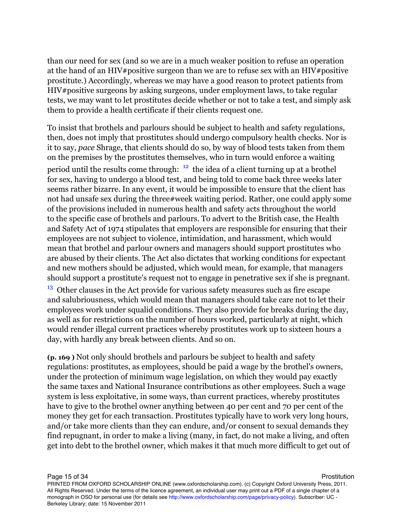than our need for sex (and so we are in a much weaker position to refuse an operation at the hand of an HIV#positive surgeon than we are to refuse sex with an HIV#positive prostitute.) Accordingly, whereas we may have a good reason to protect patients from HIV#positive surgeons by asking surgeons, under employment laws, to take regular tests, we may want to let prostitutes decide whether or not to take a test, and simply ask them to provide a health certificate if their clients request one.

To insist that brothels and parlours should be subject to health and safety regulations, then, does not imply that prostitutes should undergo compulsory health checks. Nor is it to say, *pace* Shrage, that clients should do so, by way of blood tests taken from them on the premises by the prostitutes themselves, who in turn would enforce a waiting period until the results come through: 12 the idea of a client turning up at a brothel for sex, having to undergo a blood test, and being told to come back three weeks later seems rather bizarre. In any event, it would be impossible to ensure that the client has not had unsafe sex during the three#week waiting period. Rather, one could apply some of the provisions included in numerous health and safety acts throughout the world to the specific case of brothels and parlours. To advert to the British case, the Health and Safety Act of 1974 stipulates that employers are responsible for ensuring that their employees are not subject to violence, intimidation, and harassment, which would mean that brothel and parlour owners and managers should support prostitutes who are abused by their clients. The Act also dictates that working conditions for expectant and new mothers should be adjusted, which would mean, for example, that managers should support a prostitute's request not to engage in penetrative sex if she is pregnant. <sup>13</sup> Other clauses in the Act provide for various safety measures such as fire escape and salubriousness, which would mean that managers should take care not to let their employees work under squalid conditions. They also provide for breaks during the day, as well as for restrictions on the number of hours worked, particularly at night, which would render illegal current practices whereby prostitutes work up to sixteen hours a day, with hardly any break between clients. And so on.

**(p. 169 )** Not only should brothels and parlours be subject to health and safety regulations: prostitutes, as employees, should be paid a wage by the brothel's owners, under the protection of minimum wage legislation, on which they would pay exactly the same taxes and National Insurance contributions as other employees. Such a wage system is less exploitative, in some ways, than current practices, whereby prostitutes have to give to the brothel owner anything between 40 per cent and 70 per cent of the money they get for each transaction. Prostitutes typically have to work very long hours, and/or take more clients than they can endure, and/or consent to sexual demands they find repugnant, in order to make a living (many, in fact, do not make a living, and often get into debt to the brothel owner, which makes it that much more difficult to get out of

Page 15 of 34 Prostitution and the set of the set of the set of the set of the set of the set of the set of the set of the set of the set of the set of the set of the set of the set of the set of the set of the set of the PRINTED FROM OXFORD SCHOLARSHIP ONLINE (www.oxfordscholarship.com). (c) Copyright Oxford University Press, 2011. All Rights Reserved. Under the terms of the licence agreement, an individual user may print out a PDF of a single chapter of a monograph in OSO for personal use (for details see [http://www.oxfordscholarship.com/page/privacy-policy\)](http://www.oxfordscholarship.com/page/privacy-policy). Subscriber: UC - Berkeley Library; date: 15 November 2011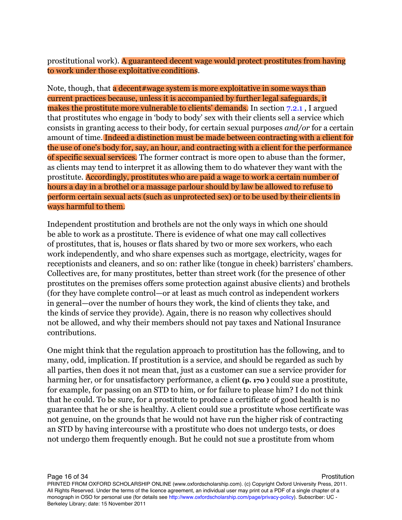prostitutional work). A guaranteed decent wage would protect prostitutes from having to work under those exploitative conditions.

Note, though, that a decent#wage system is more exploitative in some ways than current practices because, unless it is accompanied by further legal safeguards, it makes the prostitute more vulnerable to clients' demands. In section 7.2.1, I argued that prostitutes who engage in 'body to body' sex with their clients sell a service which consists in granting access to their body, for certain sexual purposes *and/or* for a certain amount of time. Indeed a distinction must be made between contracting with a client for the use of one's body for, say, an hour, and contracting with a client for the performance of specific sexual services. The former contract is more open to abuse than the former, as clients may tend to interpret it as allowing them to do whatever they want with the prostitute. Accordingly, prostitutes who are paid a wage to work a certain number of hours a day in a brothel or a massage parlour should by law be allowed to refuse to perform certain sexual acts (such as unprotected sex) or to be used by their clients in ways harmful to them.

Independent prostitution and brothels are not the only ways in which one should be able to work as a prostitute. There is evidence of what one may call collectives of prostitutes, that is, houses or flats shared by two or more sex workers, who each work independently, and who share expenses such as mortgage, electricity, wages for receptionists and cleaners, and so on: rather like (tongue in cheek) barristers' chambers. Collectives are, for many prostitutes, better than street work (for the presence of other prostitutes on the premises offers some protection against abusive clients) and brothels (for they have complete control—or at least as much control as independent workers in general—over the number of hours they work, the kind of clients they take, and the kinds of service they provide). Again, there is no reason why collectives should not be allowed, and why their members should not pay taxes and National Insurance contributions.

One might think that the regulation approach to prostitution has the following, and to many, odd, implication. If prostitution is a service, and should be regarded as such by all parties, then does it not mean that, just as a customer can sue a service provider for harming her, or for unsatisfactory performance, a client **(p. 170 )** could sue a prostitute, for example, for passing on an STD to him, or for failure to please him? I do not think that he could. To be sure, for a prostitute to produce a certificate of good health is no guarantee that he or she is healthy. A client could sue a prostitute whose certificate was not genuine, on the grounds that he would not have run the higher risk of contracting an STD by having intercourse with a prostitute who does not undergo tests, or does not undergo them frequently enough. But he could not sue a prostitute from whom

Page 16 of 34 Prostitution and the set of the set of the set of the set of the set of the set of the set of the set of the set of the set of the set of the set of the set of the set of the set of the set of the set of the PRINTED FROM OXFORD SCHOLARSHIP ONLINE (www.oxfordscholarship.com). (c) Copyright Oxford University Press, 2011. All Rights Reserved. Under the terms of the licence agreement, an individual user may print out a PDF of a single chapter of a monograph in OSO for personal use (for details see [http://www.oxfordscholarship.com/page/privacy-policy\)](http://www.oxfordscholarship.com/page/privacy-policy). Subscriber: UC - Berkeley Library; date: 15 November 2011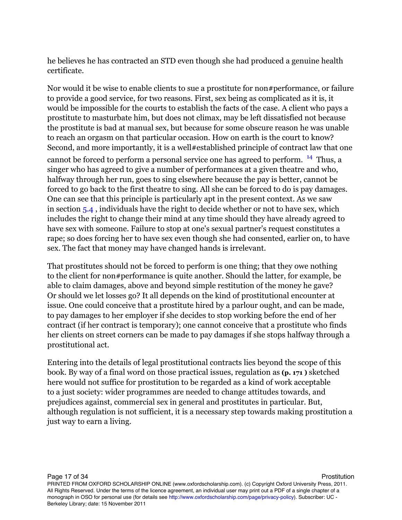he believes he has contracted an STD even though she had produced a genuine health certificate.

Nor would it be wise to enable clients to sue a prostitute for non#performance, or failure to provide a good service, for two reasons. First, sex being as complicated as it is, it would be impossible for the courts to establish the facts of the case. A client who pays a prostitute to masturbate him, but does not climax, may be left dissatisfied not because the prostitute is bad at manual sex, but because for some obscure reason he was unable to reach an orgasm on that particular occasion. How on earth is the court to know? Second, and more importantly, it is a well#established principle of contract law that one cannot be forced to perform a personal service one has agreed to perform. 14 Thus, a singer who has agreed to give a number of performances at a given theatre and who, halfway through her run, goes to sing elsewhere because the pay is better, cannot be forced to go back to the first theatre to sing. All she can be forced to do is pay damages. One can see that this principle is particularly apt in the present context. As we saw in section [5.4](http://www.oxfordscholarship.com/view/10.1093/0199289999.001.0001/acprof-9780199289998-chapter-5#acprof-9780199289998-div1-20) , individuals have the right to decide whether or not to have sex, which includes the right to change their mind at any time should they have already agreed to have sex with someone. Failure to stop at one's sexual partner's request constitutes a rape; so does forcing her to have sex even though she had consented, earlier on, to have sex. The fact that money may have changed hands is irrelevant.

That prostitutes should not be forced to perform is one thing; that they owe nothing to the client for non#performance is quite another. Should the latter, for example, be able to claim damages, above and beyond simple restitution of the money he gave? Or should we let losses go? It all depends on the kind of prostitutional encounter at issue. One could conceive that a prostitute hired by a parlour ought, and can be made, to pay damages to her employer if she decides to stop working before the end of her contract (if her contract is temporary); one cannot conceive that a prostitute who finds her clients on street corners can be made to pay damages if she stops halfway through a prostitutional act.

Entering into the details of legal prostitutional contracts lies beyond the scope of this book. By way of a final word on those practical issues, regulation as **(p. 171 )** sketched here would not suffice for prostitution to be regarded as a kind of work acceptable to a just society: wider programmes are needed to change attitudes towards, and prejudices against, commercial sex in general and prostitutes in particular. But, although regulation is not sufficient, it is a necessary step towards making prostitution a just way to earn a living.

Page 17 of 34 Prostitution and the set of the set of the set of the set of the set of the set of the set of the set of the set of the set of the set of the set of the set of the set of the set of the set of the set of the PRINTED FROM OXFORD SCHOLARSHIP ONLINE (www.oxfordscholarship.com). (c) Copyright Oxford University Press, 2011. All Rights Reserved. Under the terms of the licence agreement, an individual user may print out a PDF of a single chapter of a monograph in OSO for personal use (for details see [http://www.oxfordscholarship.com/page/privacy-policy\)](http://www.oxfordscholarship.com/page/privacy-policy). Subscriber: UC - Berkeley Library; date: 15 November 2011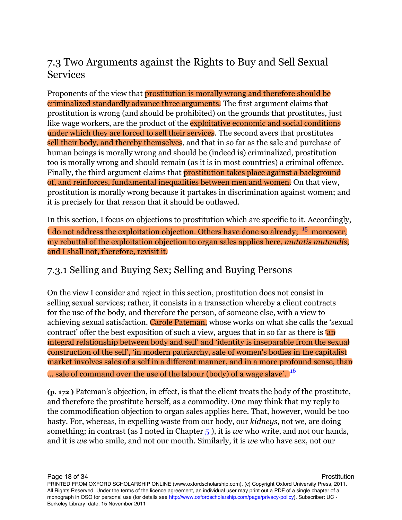## 7.3 Two Arguments against the Rights to Buy and Sell Sexual **Services**

Proponents of the view that prostitution is morally wrong and therefore should be criminalized standardly advance three arguments. The first argument claims that prostitution is wrong (and should be prohibited) on the grounds that prostitutes, just like wage workers, are the product of the *exploitative economic and social conditions* under which they are forced to sell their services. The second avers that prostitutes sell their body, and thereby themselves, and that in so far as the sale and purchase of human beings is morally wrong and should be (indeed is) criminalized, prostitution too is morally wrong and should remain (as it is in most countries) a criminal offence. Finally, the third argument claims that prostitution takes place against a background of, and reinforces, fundamental inequalities between men and women. On that view, prostitution is morally wrong because it partakes in discrimination against women; and it is precisely for that reason that it should be outlawed.

In this section, I focus on objections to prostitution which are specific to it. Accordingly, I do not address the exploitation objection. Others have done so already:  $15$  moreover, my rebuttal of the exploitation objection to organ sales applies here, *mutatis mutandis*, and I shall not, therefore, revisit it.

## 7.3.1 Selling and Buying Sex; Selling and Buying Persons

On the view I consider and reject in this section, prostitution does not consist in selling sexual services; rather, it consists in a transaction whereby a client contracts for the use of the body, and therefore the person, of someone else, with a view to achieving sexual satisfaction. Carole Pateman, whose works on what she calls the 'sexual contract' offer the best exposition of such a view, argues that in so far as there is 'an integral relationship between body and self' and 'identity is inseparable from the sexual construction of the self', 'in modern patriarchy, sale of women's bodies in the capitalist market involves sales of a self in a different manner, and in a more profound sense, than  $\dots$  sale of command over the use of the labour (body) of a wage slave'.  $^{16}$ 

**(p. 172 )** Pateman's objection, in effect, is that the client treats the body of the prostitute, and therefore the prostitute herself, as a commodity. One may think that my reply to the commodification objection to organ sales applies here. That, however, would be too hasty. For, whereas, in expelling waste from our body, our *kidneys*, not we, are doing something; in contrast (as I noted in Chapter [5](http://www.oxfordscholarship.com/view/10.1093/0199289999.001.0001/acprof-9780199289998-chapter-5#) ), it is *we* who write, and not our hands, and it is *we* who smile, and not our mouth. Similarly, it is *we* who have sex, not our

Page 18 of 34 Prostitution and the set of the set of the set of the set of the set of the set of the set of the set of the set of the set of the set of the set of the set of the set of the set of the set of the set of the PRINTED FROM OXFORD SCHOLARSHIP ONLINE (www.oxfordscholarship.com). (c) Copyright Oxford University Press, 2011. All Rights Reserved. Under the terms of the licence agreement, an individual user may print out a PDF of a single chapter of a monograph in OSO for personal use (for details see [http://www.oxfordscholarship.com/page/privacy-policy\)](http://www.oxfordscholarship.com/page/privacy-policy). Subscriber: UC - Berkeley Library; date: 15 November 2011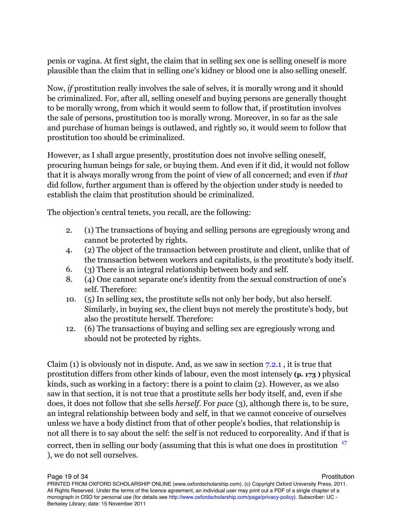penis or vagina. At first sight, the claim that in selling sex one is selling oneself is more plausible than the claim that in selling one's kidney or blood one is also selling oneself.

Now, *if* prostitution really involves the sale of selves, it is morally wrong and it should be criminalized. For, after all, selling oneself and buying persons are generally thought to be morally wrong, from which it would seem to follow that, if prostitution involves the sale of persons, prostitution too is morally wrong. Moreover, in so far as the sale and purchase of human beings is outlawed, and rightly so, it would seem to follow that prostitution too should be criminalized.

However, as I shall argue presently, prostitution does not involve selling oneself, procuring human beings for sale, or buying them. And even if it did, it would not follow that it is always morally wrong from the point of view of all concerned; and even if *that* did follow, further argument than is offered by the objection under study is needed to establish the claim that prostitution should be criminalized.

The objection's central tenets, you recall, are the following:

- 2. (1) The transactions of buying and selling persons are egregiously wrong and cannot be protected by rights.
- 4. (2) The object of the transaction between prostitute and client, unlike that of the transaction between workers and capitalists, is the prostitute's body itself.
- 6. (3) There is an integral relationship between body and self.
- 8. (4) One cannot separate one's identity from the sexual construction of one's self. Therefore:
- 10. (5) In selling sex, the prostitute sells not only her body, but also herself. Similarly, in buying sex, the client buys not merely the prostitute's body, but also the prostitute herself. Therefore:
- 12. (6) The transactions of buying and selling sex are egregiously wrong and should not be protected by rights.

Claim (1) is obviously not in dispute. And, as we saw in section [7.2.1](http://www.oxfordscholarship.com/view/10.1093/0199289999.001.0001/acprof-9780199289998-chapter-7#acprof-9780199289998-div2-16) , it is true that prostitution differs from other kinds of labour, even the most intensely **(p. 173 )** physical kinds, such as working in a factory: there is a point to claim (2). However, as we also saw in that section, it is not true that a prostitute sells her body itself, and, even if she does, it does not follow that she sells *herself*. For *pace* (3), although there is, to be sure, an integral relationship between body and self, in that we cannot conceive of ourselves unless we have a body distinct from that of other people's bodies, that relationship is not all there is to say about the self: the self is not reduced to corporeality. And if that is

correct, then in selling our body (assuming that this is what one does in prostitution  $17$ ), we do not sell ourselves.

Page 19 of 34 Prostitution and the set of the set of the set of the set of the set of the set of the set of the set of the set of the set of the set of the set of the set of the set of the set of the set of the set of the PRINTED FROM OXFORD SCHOLARSHIP ONLINE (www.oxfordscholarship.com). (c) Copyright Oxford University Press, 2011. All Rights Reserved. Under the terms of the licence agreement, an individual user may print out a PDF of a single chapter of a monograph in OSO for personal use (for details see [http://www.oxfordscholarship.com/page/privacy-policy\)](http://www.oxfordscholarship.com/page/privacy-policy). Subscriber: UC - Berkeley Library; date: 15 November 2011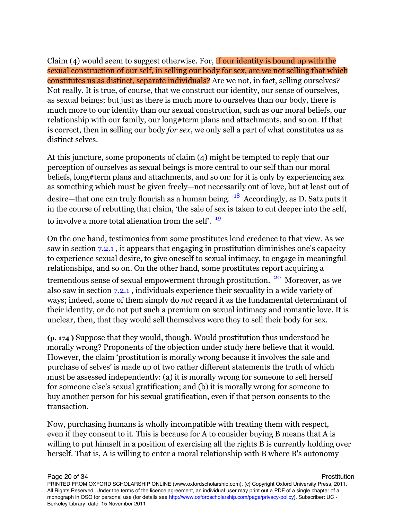Claim (4) would seem to suggest otherwise. For, if our identity is bound up with the sexual construction of our self, in selling our body for sex, are we not selling that which constitutes us as distinct, separate individuals? Are we not, in fact, selling ourselves? Not really. It is true, of course, that we construct our identity, our sense of ourselves, as sexual beings; but just as there is much more to ourselves than our body, there is much more to our identity than our sexual construction, such as our moral beliefs, our relationship with our family, our long#term plans and attachments, and so on. If that is correct, then in selling our body *for sex*, we only sell a part of what constitutes us as distinct selves.

At this juncture, some proponents of claim (4) might be tempted to reply that our perception of ourselves as sexual beings is more central to our self than our moral beliefs, long#term plans and attachments, and so on: for it is only by experiencing sex as something which must be given freely—not necessarily out of love, but at least out of desire—that one can truly flourish as a human being.  $18$  Accordingly, as D. Satz puts it in the course of rebutting that claim, 'the sale of sex is taken to cut deeper into the self, to involve a more total alienation from the self.  $^{19}$ 

On the one hand, testimonies from some prostitutes lend credence to that view. As we saw in section [7.2.1](http://www.oxfordscholarship.com/view/10.1093/0199289999.001.0001/acprof-9780199289998-chapter-7#acprof-9780199289998-div2-16) , it appears that engaging in prostitution diminishes one's capacity to experience sexual desire, to give oneself to sexual intimacy, to engage in meaningful relationships, and so on. On the other hand, some prostitutes report acquiring a tremendous sense of sexual empowerment through prostitution. <sup>20</sup> Moreover, as we also saw in section [7.2.1](http://www.oxfordscholarship.com/view/10.1093/0199289999.001.0001/acprof-9780199289998-chapter-7#acprof-9780199289998-div2-16) , individuals experience their sexuality in a wide variety of ways; indeed, some of them simply do *not* regard it as the fundamental determinant of their identity, or do not put such a premium on sexual intimacy and romantic love. It is unclear, then, that they would sell themselves were they to sell their body for sex.

**(p. 174 )** Suppose that they would, though. Would prostitution thus understood be morally wrong? Proponents of the objection under study here believe that it would. However, the claim 'prostitution is morally wrong because it involves the sale and purchase of selves' is made up of two rather different statements the truth of which must be assessed independently: (a) it is morally wrong for someone to sell herself for someone else's sexual gratification; and (b) it is morally wrong for someone to buy another person for his sexual gratification, even if that person consents to the transaction.

Now, purchasing humans is wholly incompatible with treating them with respect, even if they consent to it. This is because for A to consider buying B means that A is willing to put himself in a position of exercising all the rights B is currently holding over herself. That is, A is willing to enter a moral relationship with B where B's autonomy

Page 20 of 34 Prostitution and the state of the state of the state of the state of the Prostitution Prostitution PRINTED FROM OXFORD SCHOLARSHIP ONLINE (www.oxfordscholarship.com). (c) Copyright Oxford University Press, 2011. All Rights Reserved. Under the terms of the licence agreement, an individual user may print out a PDF of a single chapter of a monograph in OSO for personal use (for details see [http://www.oxfordscholarship.com/page/privacy-policy\)](http://www.oxfordscholarship.com/page/privacy-policy). Subscriber: UC - Berkeley Library; date: 15 November 2011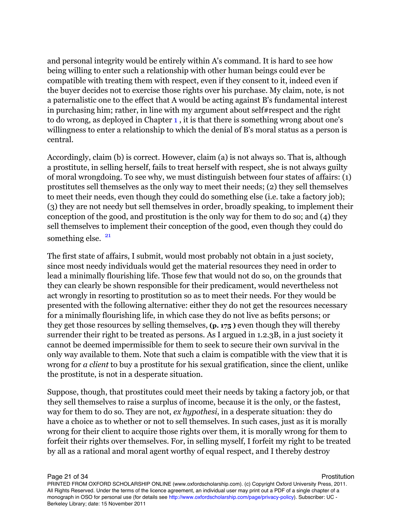and personal integrity would be entirely within A's command. It is hard to see how being willing to enter such a relationship with other human beings could ever be compatible with treating them with respect, even if they consent to it, indeed even if the buyer decides not to exercise those rights over his purchase. My claim, note, is not a paternalistic one to the effect that A would be acting against B's fundamental interest in purchasing him; rather, in line with my argument about self#respect and the right to do wrong, as deployed in Chapter [1](http://www.oxfordscholarship.com/view/10.1093/0199289999.001.0001/acprof-9780199289998-chapter-1#) , it is that there is something wrong about one's willingness to enter a relationship to which the denial of B's moral status as a person is central.

Accordingly, claim (b) is correct. However, claim (a) is not always so. That is, although a prostitute, in selling herself, fails to treat herself with respect, she is not always guilty of moral wrongdoing. To see why, we must distinguish between four states of affairs: (1) prostitutes sell themselves as the only way to meet their needs; (2) they sell themselves to meet their needs, even though they could do something else (i.e. take a factory job); (3) they are not needy but sell themselves in order, broadly speaking, to implement their conception of the good, and prostitution is the only way for them to do so; and (4) they sell themselves to implement their conception of the good, even though they could do something else.  $21$ 

The first state of affairs, I submit, would most probably not obtain in a just society, since most needy individuals would get the material resources they need in order to lead a minimally flourishing life. Those few that would not do so, on the grounds that they can clearly be shown responsible for their predicament, would nevertheless not act wrongly in resorting to prostitution so as to meet their needs. For they would be presented with the following alternative: either they do not get the resources necessary for a minimally flourishing life, in which case they do not live as befits persons; or they get those resources by selling themselves, **(p. 175 )** even though they will thereby surrender their right to be treated as persons. As I argued in 1.2.3B, in a just society it cannot be deemed impermissible for them to seek to secure their own survival in the only way available to them. Note that such a claim is compatible with the view that it is wrong for *a client* to buy a prostitute for his sexual gratification, since the client, unlike the prostitute, is not in a desperate situation.

Suppose, though, that prostitutes could meet their needs by taking a factory job, or that they sell themselves to raise a surplus of income, because it is the only, or the fastest, way for them to do so. They are not, *ex hypothesi*, in a desperate situation: they do have a choice as to whether or not to sell themselves. In such cases, just as it is morally wrong for their client to acquire those rights over them, it is morally wrong for them to forfeit their rights over themselves. For, in selling myself, I forfeit my right to be treated by all as a rational and moral agent worthy of equal respect, and I thereby destroy

Page 21 of 34 Prostitution and the state of the state of the state of the state of the Prostitution Prostitution PRINTED FROM OXFORD SCHOLARSHIP ONLINE (www.oxfordscholarship.com). (c) Copyright Oxford University Press, 2011. All Rights Reserved. Under the terms of the licence agreement, an individual user may print out a PDF of a single chapter of a monograph in OSO for personal use (for details see [http://www.oxfordscholarship.com/page/privacy-policy\)](http://www.oxfordscholarship.com/page/privacy-policy). Subscriber: UC - Berkeley Library; date: 15 November 2011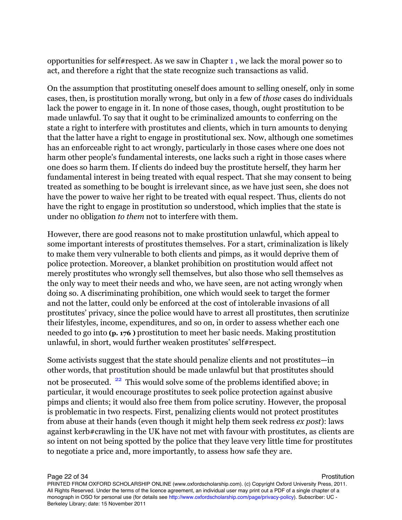opportunities for self#respect. As we saw in Chapter [1](http://www.oxfordscholarship.com/view/10.1093/0199289999.001.0001/acprof-9780199289998-chapter-1#) , we lack the moral power so to act, and therefore a right that the state recognize such transactions as valid.

On the assumption that prostituting oneself does amount to selling oneself, only in some cases, then, is prostitution morally wrong, but only in a few of *those* cases do individuals lack the power to engage in it. In none of those cases, though, ought prostitution to be made unlawful. To say that it ought to be criminalized amounts to conferring on the state a right to interfere with prostitutes and clients, which in turn amounts to denying that the latter have a right to engage in prostitutional sex. Now, although one sometimes has an enforceable right to act wrongly, particularly in those cases where one does not harm other people's fundamental interests, one lacks such a right in those cases where one does so harm them. If clients do indeed buy the prostitute herself, they harm her fundamental interest in being treated with equal respect. That she may consent to being treated as something to be bought is irrelevant since, as we have just seen, she does not have the power to waive her right to be treated with equal respect. Thus, clients do not have the right to engage in prostitution so understood, which implies that the state is under no obligation *to them* not to interfere with them.

However, there are good reasons not to make prostitution unlawful, which appeal to some important interests of prostitutes themselves. For a start, criminalization is likely to make them very vulnerable to both clients and pimps, as it would deprive them of police protection. Moreover, a blanket prohibition on prostitution would affect not merely prostitutes who wrongly sell themselves, but also those who sell themselves as the only way to meet their needs and who, we have seen, are not acting wrongly when doing so. A discriminating prohibition, one which would seek to target the former and not the latter, could only be enforced at the cost of intolerable invasions of all prostitutes' privacy, since the police would have to arrest all prostitutes, then scrutinize their lifestyles, income, expenditures, and so on, in order to assess whether each one needed to go into **(p. 176 )** prostitution to meet her basic needs. Making prostitution unlawful, in short, would further weaken prostitutes' self#respect.

Some activists suggest that the state should penalize clients and not prostitutes—in other words, that prostitution should be made unlawful but that prostitutes should not be prosecuted.  $22$  This would solve some of the problems identified above; in particular, it would encourage prostitutes to seek police protection against abusive pimps and clients; it would also free them from police scrutiny. However, the proposal is problematic in two respects. First, penalizing clients would not protect prostitutes from abuse at their hands (even though it might help them seek redress *ex post*): laws against kerb#crawling in the UK have not met with favour with prostitutes, as clients are so intent on not being spotted by the police that they leave very little time for prostitutes to negotiate a price and, more importantly, to assess how safe they are.

Page 22 of 34 Prostitution and the state of the state of the state of the state of the Prostitution Prostitution PRINTED FROM OXFORD SCHOLARSHIP ONLINE (www.oxfordscholarship.com). (c) Copyright Oxford University Press, 2011. All Rights Reserved. Under the terms of the licence agreement, an individual user may print out a PDF of a single chapter of a monograph in OSO for personal use (for details see [http://www.oxfordscholarship.com/page/privacy-policy\)](http://www.oxfordscholarship.com/page/privacy-policy). Subscriber: UC - Berkeley Library; date: 15 November 2011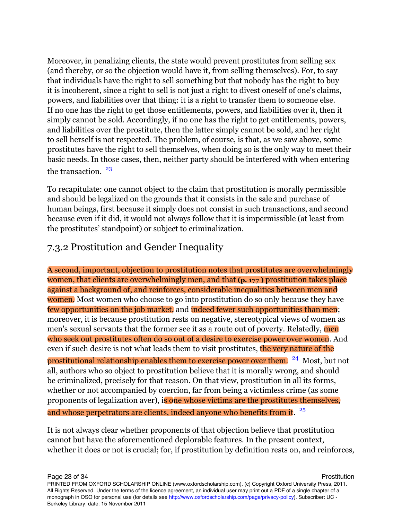Moreover, in penalizing clients, the state would prevent prostitutes from selling sex (and thereby, or so the objection would have it, from selling themselves). For, to say that individuals have the right to sell something but that nobody has the right to buy it is incoherent, since a right to sell is not just a right to divest oneself of one's claims, powers, and liabilities over that thing: it is a right to transfer them to someone else. If no one has the right to get those entitlements, powers, and liabilities over it, then it simply cannot be sold. Accordingly, if no one has the right to get entitlements, powers, and liabilities over the prostitute, then the latter simply cannot be sold, and her right to sell herself is not respected. The problem, of course, is that, as we saw above, some prostitutes have the right to sell themselves, when doing so is the only way to meet their basic needs. In those cases, then, neither party should be interfered with when entering the transaction.  $23$ 

To recapitulate: one cannot object to the claim that prostitution is morally permissible and should be legalized on the grounds that it consists in the sale and purchase of human beings, first because it simply does not consist in such transactions, and second because even if it did, it would not always follow that it is impermissible (at least from the prostitutes' standpoint) or subject to criminalization.

#### 7.3.2 Prostitution and Gender Inequality

A second, important, objection to prostitution notes that prostitutes are overwhelmingly women, that clients are overwhelmingly men, and that **(p. 177 )** prostitution takes place against a background of, and reinforces, considerable inequalities between men and women. Most women who choose to go into prostitution do so only because they have few opportunities on the job market, and indeed fewer such opportunities than men; moreover, it is because prostitution rests on negative, stereotypical views of women as men's sexual servants that the former see it as a route out of poverty. Relatedly, men who seek out prostitutes often do so out of a desire to exercise power over women. And even if such desire is not what leads them to visit prostitutes, the very nature of the prostitutional relationship enables them to exercise power over them. 24 Most, but not all, authors who so object to prostitution believe that it is morally wrong, and should be criminalized, precisely for that reason. On that view, prostitution in all its forms, whether or not accompanied by coercion, far from being a victimless crime (as some proponents of legalization aver), is one whose victims are the prostitutes themselves, and whose perpetrators are clients, indeed anyone who benefits from it. <sup>25</sup>

It is not always clear whether proponents of that objection believe that prostitution cannot but have the aforementioned deplorable features. In the present context, whether it does or not is crucial; for, if prostitution by definition rests on, and reinforces,

Page 23 of 34 Prostitution and the set of the set of the set of the set of the set of the set of the set of the set of the set of the set of the set of the set of the set of the set of the set of the set of the set of the PRINTED FROM OXFORD SCHOLARSHIP ONLINE (www.oxfordscholarship.com). (c) Copyright Oxford University Press, 2011. All Rights Reserved. Under the terms of the licence agreement, an individual user may print out a PDF of a single chapter of a monograph in OSO for personal use (for details see [http://www.oxfordscholarship.com/page/privacy-policy\)](http://www.oxfordscholarship.com/page/privacy-policy). Subscriber: UC - Berkeley Library; date: 15 November 2011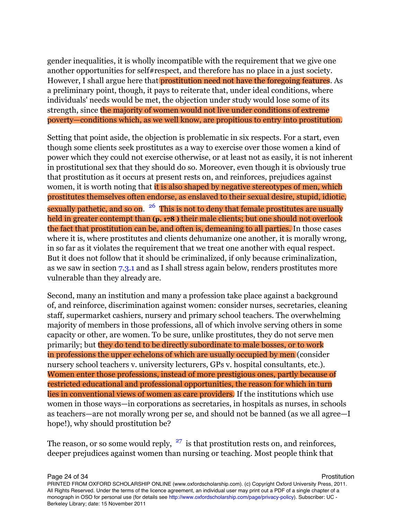gender inequalities, it is wholly incompatible with the requirement that we give one another opportunities for self#respect, and therefore has no place in a just society. However, I shall argue here that **prostitution** need not have the foregoing features. As a preliminary point, though, it pays to reiterate that, under ideal conditions, where individuals' needs would be met, the objection under study would lose some of its strength, since the majority of women would not live under conditions of extreme poverty—conditions which, as we well know, are propitious to entry into prostitution.

Setting that point aside, the objection is problematic in six respects. For a start, even though some clients seek prostitutes as a way to exercise over those women a kind of power which they could not exercise otherwise, or at least not as easily, it is not inherent in prostitutional sex that they should do so. Moreover, even though it is obviously true that prostitution as it occurs at present rests on, and reinforces, prejudices against women, it is worth noting that it is also shaped by negative stereotypes of men, which prostitutes themselves often endorse, as enslaved to their sexual desire, stupid, idiotic, sexually pathetic, and so on.  $26$  This is not to deny that female prostitutes are usually held in greater contempt than **(p. 178 )** their male clients; but one should not overlook the fact that prostitution can be, and often is, demeaning to all parties. In those cases where it is, where prostitutes and clients dehumanize one another, it is morally wrong, in so far as it violates the requirement that we treat one another with equal respect. But it does not follow that it should be criminalized, if only because criminalization, as we saw in section [7.3.1](http://www.oxfordscholarship.com/view/10.1093/0199289999.001.0001/acprof-9780199289998-chapter-7#acprof-9780199289998-div2-18) and as I shall stress again below, renders prostitutes more vulnerable than they already are.

Second, many an institution and many a profession take place against a background of, and reinforce, discrimination against women: consider nurses, secretaries, cleaning staff, supermarket cashiers, nursery and primary school teachers. The overwhelming majority of members in those professions, all of which involve serving others in some capacity or other, are women. To be sure, unlike prostitutes, they do not serve men primarily; but they do tend to be directly subordinate to male bosses, or to work in professions the upper echelons of which are usually occupied by men (consider nursery school teachers v. university lecturers, GPs v. hospital consultants, etc.). Women enter those professions, instead of more prestigious ones, partly because of restricted educational and professional opportunities, the reason for which in turn lies in conventional views of women as care providers. If the institutions which use women in those ways—in corporations as secretaries, in hospitals as nurses, in schools as teachers—are not morally wrong per se, and should not be banned (as we all agree—I hope!), why should prostitution be?

The reason, or so some would reply,  $27$  is that prostitution rests on, and reinforces, deeper prejudices against women than nursing or teaching. Most people think that

Page 24 of 34 Prostitution and the state of the state of the state of the state of the Prostitution Prostitution PRINTED FROM OXFORD SCHOLARSHIP ONLINE (www.oxfordscholarship.com). (c) Copyright Oxford University Press, 2011. All Rights Reserved. Under the terms of the licence agreement, an individual user may print out a PDF of a single chapter of a monograph in OSO for personal use (for details see [http://www.oxfordscholarship.com/page/privacy-policy\)](http://www.oxfordscholarship.com/page/privacy-policy). Subscriber: UC - Berkeley Library; date: 15 November 2011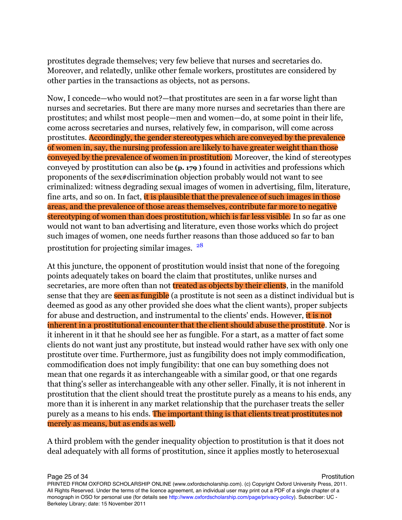prostitutes degrade themselves; very few believe that nurses and secretaries do. Moreover, and relatedly, unlike other female workers, prostitutes are considered by other parties in the transactions as objects, not as persons.

Now, I concede—who would not?—that prostitutes are seen in a far worse light than nurses and secretaries. But there are many more nurses and secretaries than there are prostitutes; and whilst most people—men and women—do, at some point in their life, come across secretaries and nurses, relatively few, in comparison, will come across prostitutes. Accordingly, the gender stereotypes which are conveyed by the prevalence of women in, say, the nursing profession are likely to have greater weight than those conveyed by the prevalence of women in prostitution. Moreover, the kind of stereotypes conveyed by prostitution can also be **(p. 179 )** found in activities and professions which proponents of the sex#discrimination objection probably would not want to see criminalized: witness degrading sexual images of women in advertising, film, literature, fine arts, and so on. In fact, it is plausible that the prevalence of such images in those areas, and the prevalence of those areas themselves, contribute far more to negative stereotyping of women than does prostitution, which is far less visible. In so far as one would not want to ban advertising and literature, even those works which do project such images of women, one needs further reasons than those adduced so far to ban prostitution for projecting similar images. <sup>28</sup>

At this juncture, the opponent of prostitution would insist that none of the foregoing points adequately takes on board the claim that prostitutes, unlike nurses and secretaries, are more often than not treated as objects by their clients, in the manifold sense that they are seen as fungible (a prostitute is not seen as a distinct individual but is deemed as good as any other provided she does what the client wants), proper subjects for abuse and destruction, and instrumental to the clients' ends. However, it is not inherent in a prostitutional encounter that the client should abuse the prostitute. Nor is it inherent in it that he should see her as fungible. For a start, as a matter of fact some clients do not want just any prostitute, but instead would rather have sex with only one prostitute over time. Furthermore, just as fungibility does not imply commodification, commodification does not imply fungibility: that one can buy something does not mean that one regards it as interchangeable with a similar good, or that one regards that thing's seller as interchangeable with any other seller. Finally, it is not inherent in prostitution that the client should treat the prostitute purely as a means to his ends, any more than it is inherent in any market relationship that the purchaser treats the seller purely as a means to his ends. The important thing is that clients treat prostitutes not merely as means, but as ends as well.

A third problem with the gender inequality objection to prostitution is that it does not deal adequately with all forms of prostitution, since it applies mostly to heterosexual

Page 25 of 34 Prostitution and the state of the state of the state of the state of the Prostitution Prostitution PRINTED FROM OXFORD SCHOLARSHIP ONLINE (www.oxfordscholarship.com). (c) Copyright Oxford University Press, 2011. All Rights Reserved. Under the terms of the licence agreement, an individual user may print out a PDF of a single chapter of a monograph in OSO for personal use (for details see [http://www.oxfordscholarship.com/page/privacy-policy\)](http://www.oxfordscholarship.com/page/privacy-policy). Subscriber: UC - Berkeley Library; date: 15 November 2011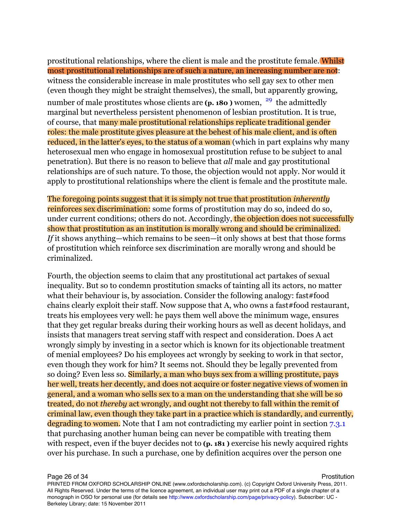prostitutional relationships, where the client is male and the prostitute female. Whilst most prostitutional relationships are of such a nature, an increasing number are not: witness the considerable increase in male prostitutes who sell gay sex to other men (even though they might be straight themselves), the small, but apparently growing, number of male prostitutes whose clients are (p. 180) women, <sup>29</sup> the admittedly marginal but nevertheless persistent phenomenon of lesbian prostitution. It is true, of course, that many male prostitutional relationships replicate traditional gender roles: the male prostitute gives pleasure at the behest of his male client, and is often reduced, in the latter's eyes, to the status of a woman (which in part explains why many heterosexual men who engage in homosexual prostitution refuse to be subject to anal penetration). But there is no reason to believe that *all* male and gay prostitutional relationships are of such nature. To those, the objection would not apply. Nor would it apply to prostitutional relationships where the client is female and the prostitute male.

The foregoing points suggest that it is simply not true that prostitution *inherently* reinforces sex discrimination: some forms of prostitution may do so, indeed do so, under current conditions; others do not. Accordingly, the objection does not successfully show that prostitution as an institution is morally wrong and should be criminalized. *If* it shows anything—which remains to be seen—it only shows at best that those forms of prostitution which reinforce sex discrimination are morally wrong and should be criminalized.

Fourth, the objection seems to claim that any prostitutional act partakes of sexual inequality. But so to condemn prostitution smacks of tainting all its actors, no matter what their behaviour is, by association. Consider the following analogy: fast#food chains clearly exploit their staff. Now suppose that A, who owns a fast#food restaurant, treats his employees very well: he pays them well above the minimum wage, ensures that they get regular breaks during their working hours as well as decent holidays, and insists that managers treat serving staff with respect and consideration. Does A act wrongly simply by investing in a sector which is known for its objectionable treatment of menial employees? Do his employees act wrongly by seeking to work in that sector, even though they work for him? It seems not. Should they be legally prevented from so doing? Even less so. Similarly, a man who buys sex from a willing prostitute, pays her well, treats her decently, and does not acquire or foster negative views of women in general, and a woman who sells sex to a man on the understanding that she will be so treated, do not *thereby* act wrongly, and ought not thereby to fall within the remit of criminal law, even though they take part in a practice which is standardly, and currently, degrading to women. Note that I am not contradicting my earlier point in section [7.3.1](http://www.oxfordscholarship.com/view/10.1093/0199289999.001.0001/acprof-9780199289998-chapter-7#acprof-9780199289998-div2-18) that purchasing another human being can never be compatible with treating them with respect, even if the buyer decides not to  $(p. 181)$  exercise his newly acquired rights over his purchase. In such a purchase, one by definition acquires over the person one

Page 26 of 34 Prostitution and the state of the state of the state of the state of the Prostitution Prostitution PRINTED FROM OXFORD SCHOLARSHIP ONLINE (www.oxfordscholarship.com). (c) Copyright Oxford University Press, 2011. All Rights Reserved. Under the terms of the licence agreement, an individual user may print out a PDF of a single chapter of a monograph in OSO for personal use (for details see [http://www.oxfordscholarship.com/page/privacy-policy\)](http://www.oxfordscholarship.com/page/privacy-policy). Subscriber: UC - Berkeley Library; date: 15 November 2011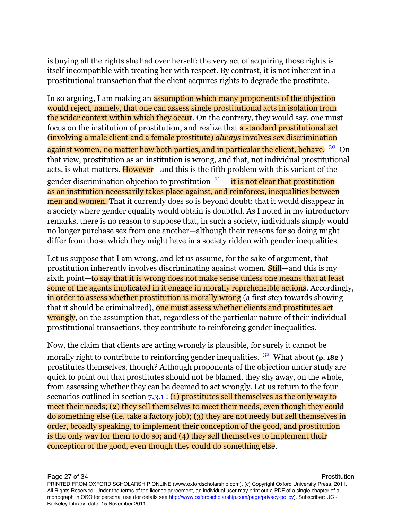is buying all the rights she had over herself: the very act of acquiring those rights is itself incompatible with treating her with respect. By contrast, it is not inherent in a prostitutional transaction that the client acquires rights to degrade the prostitute.

In so arguing, I am making an assumption which many proponents of the objection would reject, namely, that one can assess single prostitutional acts in isolation from the wider context within which they occur. On the contrary, they would say, one must focus on the institution of prostitution, and realize that a standard prostitutional act (involving a male client and a female prostitute) *always* involves sex discrimination against women, no matter how both parties, and in particular the client, behave. <sup>30</sup> On that view, prostitution as an institution is wrong, and that, not individual prostitutional acts, is what matters. However—and this is the fifth problem with this variant of the gender discrimination objection to prostitution  $3^1$  —it is not clear that prostitution as an institution necessarily takes place against, and reinforces, inequalities between men and women. That it currently does so is beyond doubt: that it would disappear in a society where gender equality would obtain is doubtful. As I noted in my introductory remarks, there is no reason to suppose that, in such a society, individuals simply would no longer purchase sex from one another—although their reasons for so doing might differ from those which they might have in a society ridden with gender inequalities.

Let us suppose that I am wrong, and let us assume, for the sake of argument, that prostitution inherently involves discriminating against women. Still—and this is my sixth point—to say that it is wrong does not make sense unless one means that at least some of the agents implicated in it engage in morally reprehensible actions. Accordingly, in order to assess whether prostitution is morally wrong (a first step towards showing that it should be criminalized), one must assess whether clients and prostitutes act wrongly, on the assumption that, regardless of the particular nature of their individual prostitutional transactions, they contribute to reinforcing gender inequalities.

Now, the claim that clients are acting wrongly is plausible, for surely it cannot be morally right to contribute to reinforcing gender inequalities. <sup>32</sup> What about (p. 182) prostitutes themselves, though? Although proponents of the objection under study are quick to point out that prostitutes should not be blamed, they shy away, on the whole, from assessing whether they can be deemed to act wrongly. Let us return to the four scenarios outlined in section [7.3.1](http://www.oxfordscholarship.com/view/10.1093/0199289999.001.0001/acprof-9780199289998-chapter-7#acprof-9780199289998-div2-18) : (1) prostitutes sell themselves as the only way to meet their needs; (2) they sell themselves to meet their needs, even though they could do something else (i.e. take a factory job); (3) they are not needy but sell themselves in order, broadly speaking, to implement their conception of the good, and prostitution is the only way for them to do so; and (4) they sell themselves to implement their conception of the good, even though they could do something else.

Page 27 of 34 Prostitution and the state of the state of the state of the state of the Prostitution Prostitution PRINTED FROM OXFORD SCHOLARSHIP ONLINE (www.oxfordscholarship.com). (c) Copyright Oxford University Press, 2011. All Rights Reserved. Under the terms of the licence agreement, an individual user may print out a PDF of a single chapter of a monograph in OSO for personal use (for details see [http://www.oxfordscholarship.com/page/privacy-policy\)](http://www.oxfordscholarship.com/page/privacy-policy). Subscriber: UC - Berkeley Library; date: 15 November 2011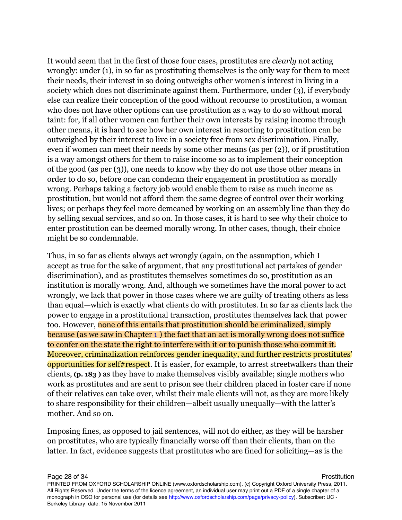It would seem that in the first of those four cases, prostitutes are *clearly* not acting wrongly: under (1), in so far as prostituting themselves is the only way for them to meet their needs, their interest in so doing outweighs other women's interest in living in a society which does not discriminate against them. Furthermore, under (3), if everybody else can realize their conception of the good without recourse to prostitution, a woman who does not have other options can use prostitution as a way to do so without moral taint: for, if all other women can further their own interests by raising income through other means, it is hard to see how her own interest in resorting to prostitution can be outweighed by their interest to live in a society free from sex discrimination. Finally, even if women can meet their needs by some other means (as per (2)), or if prostitution is a way amongst others for them to raise income so as to implement their conception of the good (as per (3)), one needs to know why they do not use those other means in order to do so, before one can condemn their engagement in prostitution as morally wrong. Perhaps taking a factory job would enable them to raise as much income as prostitution, but would not afford them the same degree of control over their working lives; or perhaps they feel more demeaned by working on an assembly line than they do by selling sexual services, and so on. In those cases, it is hard to see why their choice to enter prostitution can be deemed morally wrong. In other cases, though, their choice might be so condemnable.

Thus, in so far as clients always act wrongly (again, on the assumption, which I accept as true for the sake of argument, that any prostitutional act partakes of gender discrimination), and as prostitutes themselves sometimes do so, prostitution as an institution is morally wrong. And, although we sometimes have the moral power to act wrongly, we lack that power in those cases where we are guilty of treating others as less than equal—which is exactly what clients do with prostitutes. In so far as clients lack the power to engage in a prostitutional transaction, prostitutes themselves lack that power too. However, none of this entails that prostitution should be criminalized, simply because (as we saw in Chapter [1](http://www.oxfordscholarship.com/view/10.1093/0199289999.001.0001/acprof-9780199289998-chapter-1#) ) the fact that an act is morally wrong does not suffice to confer on the state the right to interfere with it or to punish those who commit it. Moreover, criminalization reinforces gender inequality, and further restricts prostitutes' opportunities for self#respect. It is easier, for example, to arrest streetwalkers than their clients, **(p. 183 )** as they have to make themselves visibly available; single mothers who work as prostitutes and are sent to prison see their children placed in foster care if none of their relatives can take over, whilst their male clients will not, as they are more likely to share responsibility for their children—albeit usually unequally—with the latter's mother. And so on.

Imposing fines, as opposed to jail sentences, will not do either, as they will be harsher on prostitutes, who are typically financially worse off than their clients, than on the latter. In fact, evidence suggests that prostitutes who are fined for soliciting—as is the

Page 28 of 34 Prostitution and the state of the state of the state of the state of the Prostitution Prostitution PRINTED FROM OXFORD SCHOLARSHIP ONLINE (www.oxfordscholarship.com). (c) Copyright Oxford University Press, 2011. All Rights Reserved. Under the terms of the licence agreement, an individual user may print out a PDF of a single chapter of a monograph in OSO for personal use (for details see [http://www.oxfordscholarship.com/page/privacy-policy\)](http://www.oxfordscholarship.com/page/privacy-policy). Subscriber: UC - Berkeley Library; date: 15 November 2011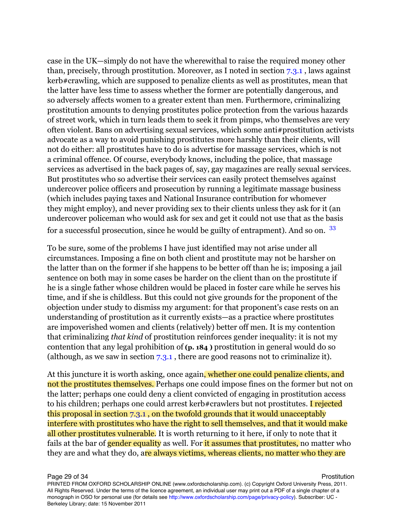case in the UK—simply do not have the wherewithal to raise the required money other than, precisely, through prostitution. Moreover, as I noted in section [7.3.1](http://www.oxfordscholarship.com/view/10.1093/0199289999.001.0001/acprof-9780199289998-chapter-7#acprof-9780199289998-div2-18) , laws against kerb#crawling, which are supposed to penalize clients as well as prostitutes, mean that the latter have less time to assess whether the former are potentially dangerous, and so adversely affects women to a greater extent than men. Furthermore, criminalizing prostitution amounts to denying prostitutes police protection from the various hazards of street work, which in turn leads them to seek it from pimps, who themselves are very often violent. Bans on advertising sexual services, which some anti#prostitution activists advocate as a way to avoid punishing prostitutes more harshly than their clients, will not do either: all prostitutes have to do is advertise for massage services, which is not a criminal offence. Of course, everybody knows, including the police, that massage services as advertised in the back pages of, say, gay magazines are really sexual services. But prostitutes who so advertise their services can easily protect themselves against undercover police officers and prosecution by running a legitimate massage business (which includes paying taxes and National Insurance contribution for whomever they might employ), and never providing sex to their clients unless they ask for it (an undercover policeman who would ask for sex and get it could not use that as the basis for a successful prosecution, since he would be guilty of entrapment). And so on. <sup>33</sup>

To be sure, some of the problems I have just identified may not arise under all circumstances. Imposing a fine on both client and prostitute may not be harsher on the latter than on the former if she happens to be better off than he is; imposing a jail sentence on both may in some cases be harder on the client than on the prostitute if he is a single father whose children would be placed in foster care while he serves his time, and if she is childless. But this could not give grounds for the proponent of the objection under study to dismiss my argument: for that proponent's case rests on an understanding of prostitution as it currently exists—as a practice where prostitutes are impoverished women and clients (relatively) better off men. It is my contention that criminalizing *that kind* of prostitution reinforces gender inequality: it is not my contention that any legal prohibition of **(p. 184 )** prostitution in general would do so (although, as we saw in section [7.3.1](http://www.oxfordscholarship.com/view/10.1093/0199289999.001.0001/acprof-9780199289998-chapter-7#acprof-9780199289998-div2-18) , there are good reasons not to criminalize it).

At this juncture it is worth asking, once again, whether one could penalize clients, and not the prostitutes themselves. Perhaps one could impose fines on the former but not on the latter; perhaps one could deny a client convicted of engaging in prostitution access to his children; perhaps one could arrest kerb#crawlers but not prostitutes. I rejected this proposal in section [7.3.1](http://www.oxfordscholarship.com/view/10.1093/0199289999.001.0001/acprof-9780199289998-chapter-7#acprof-9780199289998-div2-18) , on the twofold grounds that it would unacceptably interfere with prostitutes who have the right to sell themselves, and that it would make all other prostitutes vulnerable. It is worth returning to it here, if only to note that it fails at the bar of **gender equality** as well. For it assumes that prostitutes, no matter who they are and what they do, are always victims, whereas clients, no matter who they are

Page 29 of 34 Prostitution and the state of the state of the state of the state of the Prostitution Prostitution

PRINTED FROM OXFORD SCHOLARSHIP ONLINE (www.oxfordscholarship.com). (c) Copyright Oxford University Press, 2011. All Rights Reserved. Under the terms of the licence agreement, an individual user may print out a PDF of a single chapter of a monograph in OSO for personal use (for details see [http://www.oxfordscholarship.com/page/privacy-policy\)](http://www.oxfordscholarship.com/page/privacy-policy). Subscriber: UC - Berkeley Library; date: 15 November 2011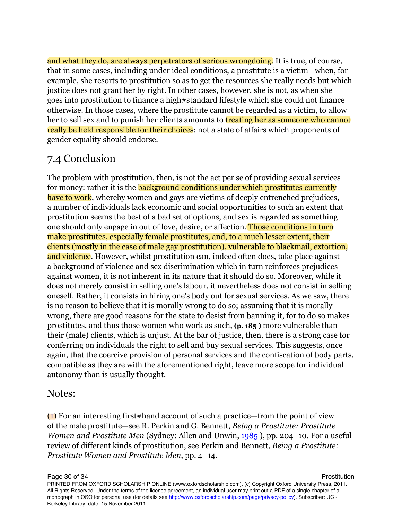and what they do, are always perpetrators of serious wrongdoing. It is true, of course, that in some cases, including under ideal conditions, a prostitute is a victim—when, for example, she resorts to prostitution so as to get the resources she really needs but which justice does not grant her by right. In other cases, however, she is not, as when she goes into prostitution to finance a high#standard lifestyle which she could not finance otherwise. In those cases, where the prostitute cannot be regarded as a victim, to allow her to sell sex and to punish her clients amounts to treating her as someone who cannot really be held responsible for their choices: not a state of affairs which proponents of gender equality should endorse.

## 7.4 Conclusion

The problem with prostitution, then, is not the act per se of providing sexual services for money: rather it is the **background conditions under which prostitutes currently** have to work, whereby women and gays are victims of deeply entrenched prejudices, a number of individuals lack economic and social opportunities to such an extent that prostitution seems the best of a bad set of options, and sex is regarded as something one should only engage in out of love, desire, or affection. Those conditions in turn make prostitutes, especially female prostitutes, and, to a much lesser extent, their clients (mostly in the case of male gay prostitution), vulnerable to blackmail, extortion, and violence. However, whilst prostitution can, indeed often does, take place against a background of violence and sex discrimination which in turn reinforces prejudices against women, it is not inherent in its nature that it should do so. Moreover, while it does not merely consist in selling one's labour, it nevertheless does not consist in selling oneself. Rather, it consists in hiring one's body out for sexual services. As we saw, there is no reason to believe that it is morally wrong to do so; assuming that it is morally wrong, there are good reasons for the state to desist from banning it, for to do so makes prostitutes, and thus those women who work as such, **(p. 185 )** more vulnerable than their (male) clients, which is unjust. At the bar of justice, then, there is a strong case for conferring on individuals the right to sell and buy sexual services. This suggests, once again, that the coercive provision of personal services and the confiscation of body parts, compatible as they are with the aforementioned right, leave more scope for individual autonomy than is usually thought.

#### Notes:

(1) For an interesting first#hand account of such a practice—from the point of view of the male prostitute—see R. Perkin and G. Bennett, *Being a Prostitute: Prostitute Women and Prostitute Men* (Sydney: Allen and Unwin, [1985](http://www.oxfordscholarship.com/view/10.1093/0199289999.001.0001/acprof-9780199289998-bibliographyGroup-1#acprof-9780199289998-bibItem-116) ), pp. 204–10. For a useful review of different kinds of prostitution, see Perkin and Bennett, *Being a Prostitute: Prostitute Women and Prostitute Men*, pp. 4–14.

Page 30 of 34 Prostitution and the state of the state of the state of the state of the Prostitution Prostitution PRINTED FROM OXFORD SCHOLARSHIP ONLINE (www.oxfordscholarship.com). (c) Copyright Oxford University Press, 2011. All Rights Reserved. Under the terms of the licence agreement, an individual user may print out a PDF of a single chapter of a monograph in OSO for personal use (for details see [http://www.oxfordscholarship.com/page/privacy-policy\)](http://www.oxfordscholarship.com/page/privacy-policy). Subscriber: UC - Berkeley Library; date: 15 November 2011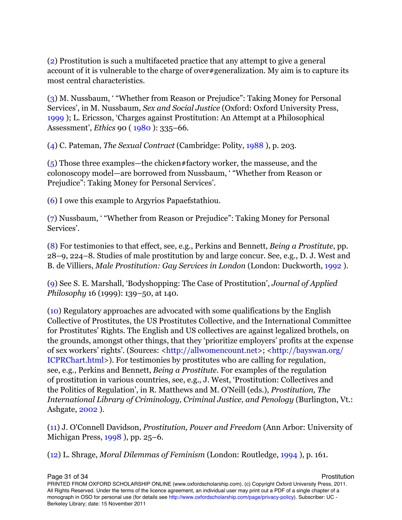(2) Prostitution is such a multifaceted practice that any attempt to give a general account of it is vulnerable to the charge of over#generalization. My aim is to capture its most central characteristics.

(3) M. Nussbaum, ' "Whether from Reason or Prejudice": Taking Money for Personal Services', in M. Nussbaum, *Sex and Social Justice* (Oxford: Oxford University Press, [1999](http://www.oxfordscholarship.com/view/10.1093/0199289999.001.0001/acprof-9780199289998-bibliographyGroup-1#acprof-9780199289998-bibItem-109) ); L. Ericsson, 'Charges against Prostitution: An Attempt at a Philosophical Assessment', *Ethics* 90 ( [1980](http://www.oxfordscholarship.com/view/10.1093/0199289999.001.0001/acprof-9780199289998-bibliographyGroup-1#acprof-9780199289998-bibItem-46) ): 335–66.

(4) C. Pateman, *The Sexual Contract* (Cambridge: Polity, [1988](http://www.oxfordscholarship.com/view/10.1093/0199289999.001.0001/acprof-9780199289998-bibliographyGroup-1#acprof-9780199289998-bibItem-115) ), p. 203.

(5) Those three examples—the chicken#factory worker, the masseuse, and the colonoscopy model—are borrowed from Nussbaum, ' "Whether from Reason or Prejudice": Taking Money for Personal Services'.

(6) I owe this example to Argyrios Papaefstathiou.

(7) Nussbaum, ' "Whether from Reason or Prejudice": Taking Money for Personal Services'.

(8) For testimonies to that effect, see, e.g., Perkins and Bennett, *Being a Prostitute*, pp. 28–9, 224–8. Studies of male prostitution by and large concur. See, e.g., D. J. West and B. de Villiers, *Male Prostitution: Gay Services in London* (London: Duckworth, [1992](http://www.oxfordscholarship.com/view/10.1093/0199289999.001.0001/acprof-9780199289998-bibliographyGroup-1#acprof-9780199289998-bibItem-157) ).

(9) See S. E. Marshall, 'Bodyshopping: The Case of Prostitution', *Journal of Applied Philosophy* 16 (1999): 139–50, at 140.

(10) Regulatory approaches are advocated with some qualifications by the English Collective of Prostitutes, the US Prostitutes Collective, and the International Committee for Prostitutes' Rights. The English and US collectives are against legalized brothels, on the grounds, amongst other things, that they 'prioritize employers' profits at the expense of sex workers' rights'. (Sources: [<http://allwomencount.net](http://allwomencount.net)>; [<http://bayswan.org/](http://bayswan.org/ICPRChart.html) [ICPRChart.html](http://bayswan.org/ICPRChart.html)>). For testimonies by prostitutes who are calling for regulation, see, e.g., Perkins and Bennett, *Being a Prostitute*. For examples of the regulation of prostitution in various countries, see, e.g., J. West, 'Prostitution: Collectives and the Politics of Regulation', in R. Matthews and M. O'Neill (eds.), *Prostitution, The International Library of Criminology, Criminal Justice, and Penology* (Burlington, Vt.: Ashgate, [2002](http://www.oxfordscholarship.com/view/10.1093/0199289999.001.0001/acprof-9780199289998-bibliographyGroup-1#acprof-9780199289998-bibItem-158) ).

(11) J. O'Connell Davidson, *Prostitution, Power and Freedom* (Ann Arbor: University of Michigan Press, [1998](http://www.oxfordscholarship.com/view/10.1093/0199289999.001.0001/acprof-9780199289998-bibliographyGroup-1#acprof-9780199289998-bibItem-35) ), pp. 25–6.

(12) L. Shrage, *Moral Dilemmas of Feminism* (London: Routledge, [1994](http://www.oxfordscholarship.com/view/10.1093/0199289999.001.0001/acprof-9780199289998-bibliographyGroup-1#acprof-9780199289998-bibItem-139) ), p. 161.

Page 31 of 34 Prostitution and the set of the set of the set of the set of the set of the set of the set of the set of the set of the set of the set of the set of the set of the set of the set of the set of the set of the PRINTED FROM OXFORD SCHOLARSHIP ONLINE (www.oxfordscholarship.com). (c) Copyright Oxford University Press, 2011. All Rights Reserved. Under the terms of the licence agreement, an individual user may print out a PDF of a single chapter of a monograph in OSO for personal use (for details see [http://www.oxfordscholarship.com/page/privacy-policy\)](http://www.oxfordscholarship.com/page/privacy-policy). Subscriber: UC - Berkeley Library; date: 15 November 2011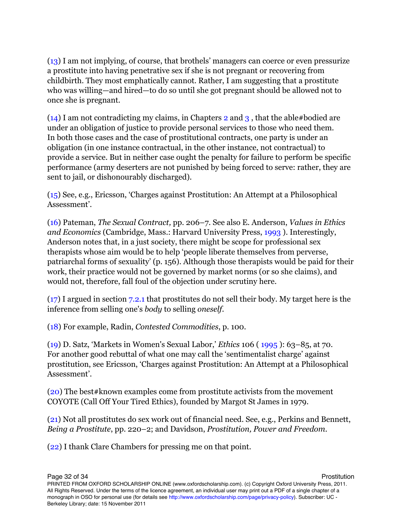(13) I am not implying, of course, that brothels' managers can coerce or even pressurize a prostitute into having penetrative sex if she is not pregnant or recovering from childbirth. They most emphatically cannot. Rather, I am suggesting that a prostitute who was willing—and hired—to do so until she got pregnant should be allowed not to once she is pregnant.

 $(14)$  I am not contradicting my claims, in Chapters [2](http://www.oxfordscholarship.com/view/10.1093/0199289999.001.0001/acprof-9780199289998-chapter-2#) and 3, that the able#bodied are under an obligation of justice to provide personal services to those who need them. In both those cases and the case of prostitutional contracts, one party is under an obligation (in one instance contractual, in the other instance, not contractual) to provide a service. But in neither case ought the penalty for failure to perform be specific performance (army deserters are not punished by being forced to serve: rather, they are sent to jail, or dishonourably discharged).

(15) See, e.g., Ericsson, 'Charges against Prostitution: An Attempt at a Philosophical Assessment'.

(16) Pateman, *The Sexual Contract,* pp. 206–7. See also E. Anderson, *Values in Ethics and Economics* (Cambridge, Mass.: Harvard University Press, [1993](http://www.oxfordscholarship.com/view/10.1093/0199289999.001.0001/acprof-9780199289998-bibliographyGroup-1#acprof-9780199289998-bibItem-4) ). Interestingly, Anderson notes that, in a just society, there might be scope for professional sex therapists whose aim would be to help 'people liberate themselves from perverse, patriarchal forms of sexuality' (p. 156). Although those therapists would be paid for their work, their practice would not be governed by market norms (or so she claims), and would not, therefore, fall foul of the objection under scrutiny here.

(17) I argued in section [7.2.1](http://www.oxfordscholarship.com/view/10.1093/0199289999.001.0001/acprof-9780199289998-chapter-7#acprof-9780199289998-div2-16) that prostitutes do not sell their body. My target here is the inference from selling one's *body* to selling *oneself*.

(18) For example, Radin, *Contested Commodities*, p. 100.

(19) D. Satz, 'Markets in Women's Sexual Labor,' *Ethics* 106 ( [1995](http://www.oxfordscholarship.com/view/10.1093/0199289999.001.0001/acprof-9780199289998-bibliographyGroup-1#acprof-9780199289998-bibItem-130) ): 63–85, at 70. For another good rebuttal of what one may call the 'sentimentalist charge' against prostitution, see Ericsson, 'Charges against Prostitution: An Attempt at a Philosophical Assessment'.

(20) The best#known examples come from prostitute activists from the movement COYOTE (Call Off Your Tired Ethics), founded by Margot St James in 1979.

(21) Not all prostitutes do sex work out of financial need. See, e.g., Perkins and Bennett, *Being a Prostitute*, pp. 220–2; and Davidson, *Prostitution, Power and Freedom*.

(22) I thank Clare Chambers for pressing me on that point.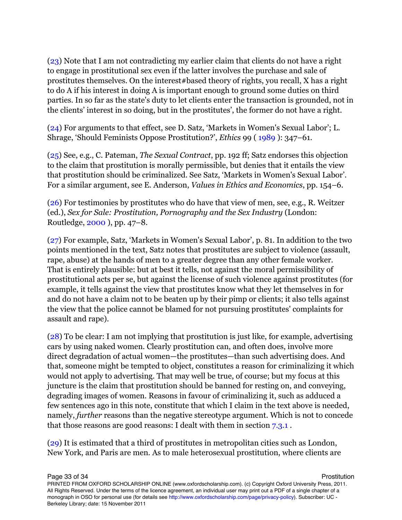(23) Note that I am not contradicting my earlier claim that clients do not have a right to engage in prostitutional sex even if the latter involves the purchase and sale of prostitutes themselves. On the interest#based theory of rights, you recall, X has a right to do A if his interest in doing A is important enough to ground some duties on third parties. In so far as the state's duty to let clients enter the transaction is grounded, not in the clients' interest in so doing, but in the prostitutes', the former do not have a right.

(24) For arguments to that effect, see D. Satz, 'Markets in Women's Sexual Labor'; L. Shrage, 'Should Feminists Oppose Prostitution?', *Ethics* 99 ( [1989](http://www.oxfordscholarship.com/view/10.1093/0199289999.001.0001/acprof-9780199289998-bibliographyGroup-1#acprof-9780199289998-bibItem-138) ): 347–61.

(25) See, e.g., C. Pateman, *The Sexual Contract*, pp. 192 ff; Satz endorses this objection to the claim that prostitution is morally permissible, but denies that it entails the view that prostitution should be criminalized. See Satz, 'Markets in Women's Sexual Labor'. For a similar argument, see E. Anderson, *Values in Ethics and Economics*, pp. 154–6.

(26) For testimonies by prostitutes who do have that view of men, see, e.g., R. Weitzer (ed.), *Sex for Sale: Prostitution, Pornography and the Sex Industry* (London: Routledge, [2000](http://www.oxfordscholarship.com/view/10.1093/0199289999.001.0001/acprof-9780199289998-bibliographyGroup-1#acprof-9780199289998-bibItem-153) ), pp. 47–8.

(27) For example, Satz, 'Markets in Women's Sexual Labor', p. 81. In addition to the two points mentioned in the text, Satz notes that prostitutes are subject to violence (assault, rape, abuse) at the hands of men to a greater degree than any other female worker. That is entirely plausible: but at best it tells, not against the moral permissibility of prostitutional acts per se, but against the license of such violence against prostitutes (for example, it tells against the view that prostitutes know what they let themselves in for and do not have a claim not to be beaten up by their pimp or clients; it also tells against the view that the police cannot be blamed for not pursuing prostitutes' complaints for assault and rape).

(28) To be clear: I am not implying that prostitution is just like, for example, advertising cars by using naked women. Clearly prostitution can, and often does, involve more direct degradation of actual women—the prostitutes—than such advertising does. And that, someone might be tempted to object, constitutes a reason for criminalizing it which would not apply to advertising. That may well be true, of course; but my focus at this juncture is the claim that prostitution should be banned for resting on, and conveying, degrading images of women. Reasons in favour of criminalizing it, such as adduced a few sentences ago in this note, constitute that which I claim in the text above is needed, namely, *further* reasons than the negative stereotype argument. Which is not to concede that those reasons are good reasons: I dealt with them in section [7.3.1](http://www.oxfordscholarship.com/view/10.1093/0199289999.001.0001/acprof-9780199289998-chapter-7#acprof-9780199289998-div2-18) .

(29) It is estimated that a third of prostitutes in metropolitan cities such as London, New York, and Paris are men. As to male heterosexual prostitution, where clients are

Page 33 of 34 Prostitution and the set of the set of the set of the set of the set of the set of the set of the set of the set of the set of the set of the set of the set of the set of the set of the set of the set of the PRINTED FROM OXFORD SCHOLARSHIP ONLINE (www.oxfordscholarship.com). (c) Copyright Oxford University Press, 2011. All Rights Reserved. Under the terms of the licence agreement, an individual user may print out a PDF of a single chapter of a monograph in OSO for personal use (for details see [http://www.oxfordscholarship.com/page/privacy-policy\)](http://www.oxfordscholarship.com/page/privacy-policy). Subscriber: UC - Berkeley Library; date: 15 November 2011